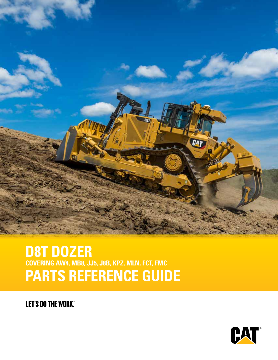

# **D8T DOZER COVERING AW4, MB8, JJ5, J8B, KPZ, MLN, FCT, FMC PARTS REFERENCE GUIDE**

**LET'S DO THE WORK.** 

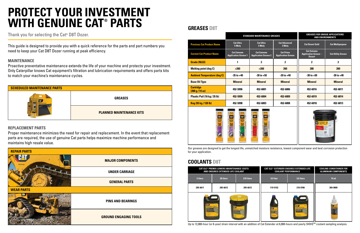|                                     |                                                   | <b>STANDARD MAINTENANCE GREASES</b>               |                                               | <b>GREASES FOR UNIQUE APPLICATIONS</b><br><b>AND ENVIRONMENTS</b>  |                           |  |  |
|-------------------------------------|---------------------------------------------------|---------------------------------------------------|-----------------------------------------------|--------------------------------------------------------------------|---------------------------|--|--|
| <b>Previous Cat Product Name</b>    | <b>Cat Ultra</b><br>5 Moly                        | <b>Cat Ultra</b><br>5 Moly                        | <b>Cat Advanced</b><br>3 Moly                 | <b>Cat Desert Gold</b>                                             | <b>Cat Multipurpose</b>   |  |  |
| <b>Current Cat Product Name</b>     | <b>Cat Extreme</b><br><b>Application Grease 1</b> | <b>Cat Extreme</b><br><b>Application Grease 2</b> | <b>Cat Prime</b><br><b>Application Grease</b> | <b>Cat Extreme</b><br><b>Application Grease -</b><br><b>Desert</b> | <b>Cat Utility Grease</b> |  |  |
| <b>Grade (NLGI)</b>                 | 1                                                 | $\mathbf 2$                                       | $\mathbf 2$                                   | 2                                                                  | $\mathbf 2$               |  |  |
| <b>Melting point (deg C)</b>        | $>260$                                            | $>260$                                            | 260                                           | 280                                                                | 260                       |  |  |
| <b>Ambient Temperature (deg C)</b>  | $-35$ to $+40$                                    | $-30$ to $+50$                                    | $-20$ to $+40$                                | $-30$ to $+50$                                                     | $-30$ to $+40$            |  |  |
| <b>Base Oil Type</b>                | <b>Mineral</b>                                    | <b>Mineral</b>                                    | <b>Mineral</b>                                | <b>Mineral</b>                                                     | <b>Mineral</b>            |  |  |
| <b>Cartridge</b><br>(390 g / 14 oz) | 452-5996                                          | 452-6001                                          | 452-6006                                      | 452-6016                                                           | 452-6011                  |  |  |
| Plastic Pail (16 kg / 35 lb)        | 452-5999                                          | 452-6004                                          | 452-6009                                      | 452-6019                                                           | 452-6014                  |  |  |
| Keg (55 kg / 120 lb)                | 452-5998                                          | 452-6003                                          | 452-6008                                      | 452-6018                                                           | 452-6013                  |  |  |
| СAТ                                 | CAT<br>CAT                                        |                                                   |                                               | <b>Cat Extras</b>                                                  |                           |  |  |





|            | <b>CAT ELC<sup>®</sup> PREMIX LOWERS MAINTENANCE COSTS</b><br>AND ENSURES EXTENDED LIFE COOLANT |            | <b>COOLANT PERFORMANCE</b> | <b>CAT ELC® EXTENDER ENSURES EXTENDED LIFE</b> | <b>COOLING CONDITIONER FOR</b><br><b>ALUMINUM COMPONENTS</b> |
|------------|-------------------------------------------------------------------------------------------------|------------|----------------------------|------------------------------------------------|--------------------------------------------------------------|
| 5 liters   | 20 liters                                                                                       | 210 liters | 0.9 liter                  | 3.8 liters                                     | 74 ml                                                        |
| 205-6611   | 205-6612                                                                                        | 205-6613   | 119-5152                   | 210-0786                                       | 369-0805                                                     |
| <b>CAF</b> |                                                                                                 |            |                            | CAT                                            |                                                              |

Up to 12,000-hour (or 6-year) drain interval with an addition of Cat Extender at 6,000-hours and yearly S•O•S<sup>sM</sup> coolant sampling analysis.

#### **GREASES D8T**

#### **COOLANTS D8T**



| <b>SCHEDULED MAINTENANCE PARTS</b> |                                 |
|------------------------------------|---------------------------------|
|                                    | <b>GREASES</b>                  |
|                                    | <b>PLANNED MAINTENANCE KITS</b> |

This guide is designed to provide you with a quick reference for the parts and part numbers you need to keep your Cat D8T Dozer running at peak efficiency.

#### **MAINTENANCE**

Proactive preventative maintenance extends the life of your machine and protects your investment. Only Caterpillar knows Cat equipment's filtration and lubrication requirements and offers parts kits to match your machine's maintenance cycles.

#### **REPLACEMENT PARTS**

Proper maintenance minimizes the need for repair and replacement. In the event that replacement parts are required, the use of genuine Cat parts helps maximize machine performance and maintains high resale value.

> Our greases are designed to get the longest life, unmatched moisture resistance, lowest component wear and best corrosion protection for your application.

Thank you for selecting the Cat**®** D8T Dozer.

# **PROTECT YOUR INVESTMENT WITH GENUINE CAT® PARTS**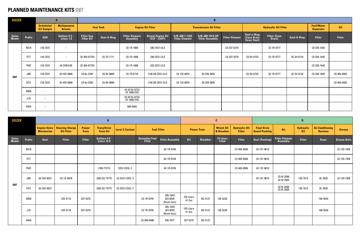#### **PLANNED MAINTENANCE KITS D8T**

| <b>DOZER</b>   |            |                  |                                                            |                              | $\mathbf{B}$                           |                        |                         |                                     | $\mathbf{D}$<br>$\mathbf{c}$ |                 |                                |                                       |                                            |                                          |                                |                                     |                     |
|----------------|------------|------------------|------------------------------------------------------------|------------------------------|----------------------------------------|------------------------|-------------------------|-------------------------------------|------------------------------|-----------------|--------------------------------|---------------------------------------|--------------------------------------------|------------------------------------------|--------------------------------|-------------------------------------|---------------------|
|                |            | <b>Mechanism</b> | <b>Engine Valve   Steering Charge</b><br><b>Oil Filter</b> | <b>Power</b><br><b>Train</b> | <b>Trans/Drive</b><br><b>Train Oil</b> | <b>Level 2 Coolant</b> | <b>Fuel Filter</b>      |                                     | <b>Power Train</b>           |                 | <b>Winch Oil</b><br>& Breather | <b>Hydraulic Oil</b><br><b>Filter</b> | <b>Final Drive</b><br><b>Guard Packing</b> | Air                                      | <b>Hydraulic</b><br><b>Oil</b> | <b>Air Conditioning</b><br>Reciever | <b>Grease</b>       |
| Sales<br>Model | Prefix     | Seal             | <b>Filter</b>                                              | <b>Filter</b>                | Gallons 4.0 -<br>Liters 15.0           |                        | Seconday Fuel<br>Filter | <b>Filter Assembly</b>              | 0il                          | <b>Breather</b> | <b>15 Liters</b><br>4 Gal      | <b>Filter</b>                         | <b>Seal (Packing)</b>                      | <b>Filter Element</b><br><b>Assembly</b> | <b>Filter</b>                  | <b>Dryer</b>                        | <b>Grease Artic</b> |
|                | <b>MLN</b> |                  |                                                            |                              |                                        |                        |                         | (6) 1R-0749                         |                              |                 |                                | $(2)$ 465-6506                        | $(4) 137 - 9810$                           |                                          |                                |                                     | (2) 129-1928        |
|                | <b>FCT</b> |                  |                                                            |                              |                                        |                        |                         | (6) 1R-0749                         |                              |                 |                                | $(2)$ 465-6506                        | (4) 137-9810                               |                                          |                                |                                     | (2) 129-1928        |
|                | <b>FMC</b> |                  |                                                            |                              | (105) TDTO                             | SOS COOL-2             |                         | (6) 1R-0749                         |                              |                 |                                | $(2)$ 465-6506                        | (4) 137-9810                               |                                          |                                |                                     |                     |
|                | J8B        | (6) 242-9537     | $(3)$ 1G-8878                                              |                              | (382.32) TDTO                          | (2) SOS COOL-2         |                         |                                     |                              |                 |                                |                                       | $(4)$ 137-9810                             | $(2)$ 61-2506<br>$(2)$ 61-2505           | 126-1813                       | 3E-3535                             | (2) 129-1928        |
| D8T            | <b>KPZ</b> | (6) 242-9537     |                                                            |                              | (382.32) TDTO                          | (2) SOS COOL-2         |                         |                                     |                              |                 |                                |                                       |                                            | (2) 61-2506<br>(2) 61-2505               | 126-1813                       | 3E-3535                             |                     |
|                | MB8        |                  | 225-4118                                                   | 337-5270                     |                                        |                        | (2) 1R-0749             | 326-1643<br>423-8525<br>(Bowl-less) | 155 Liters<br>41 Gal         | 9G-5127         | 126-3220                       |                                       |                                            |                                          |                                | 106-5534                            |                     |
|                | JJ5        |                  | 225-4118                                                   | 337-5270                     |                                        |                        | (2) 1R-0749             | 326-1643<br>423-8525<br>(Bowl-less) | 155 Liters<br>41 Gal         | 9G-5127         | 126-3220                       |                                       |                                            |                                          |                                | 106-5534                            |                     |
|                | AW4        |                  |                                                            |                              |                                        |                        | $(2)$ 500-0480          | 436-7077                            | 337-5270                     | 9G-5127         |                                |                                       |                                            |                                          |                                |                                     |                     |

| <b>DOZER</b>   |            |                                       | $\mathbf{A}$                         |                                        | $\mathbf{B}$     |                                          |                                    |                                         |                                           |                       |                                                  |                                |               |                                       |                |
|----------------|------------|---------------------------------------|--------------------------------------|----------------------------------------|------------------|------------------------------------------|------------------------------------|-----------------------------------------|-------------------------------------------|-----------------------|--------------------------------------------------|--------------------------------|---------------|---------------------------------------|----------------|
|                |            | <b>Scheduled</b><br><b>Oil Sample</b> | <b>Multipurpose</b><br><b>Grease</b> |                                        | <b>Fuel Tank</b> |                                          | <b>Engine Oil Filter</b>           |                                         | <b>Transmission Oil Filter</b>            |                       |                                                  | <b>Hydraulic Oil Filter</b>    |               | <b>Fuel/Water</b><br><b>Separator</b> | <b>Oil</b>     |
| Sales<br>Model | Prefix     | <b>SOS</b>                            | Gallons 0.3 -<br>Liters 1.0          | <b>Filler Cap</b><br><b>Filter Kit</b> | Seal-O-Ring      | <b>Filter Element</b><br><b>Assembly</b> | Diesel Engine Oil<br>(ECF - 3/API) | S/N J8B 1-1425<br><b>Filter Element</b> | S/N J8B 1914-UP<br><b>Filter Assembly</b> | <b>Filter Element</b> | Seal-o-Ring<br>(Case Drain<br><b>Cover Seal)</b> | <b>Filter (Case<br/>Drain)</b> | Seal-O-Ring   | <b>Filter</b>                         | <b>Filter</b>  |
|                | <b>MLN</b> | $(16)$ SOS                            | $\overline{\phantom{0}}$             |                                        |                  | $(3)$ 1R-1808                            | (36) DEO-ULS                       |                                         |                                           | $(3)$ 337-5270        |                                                  | $(3)$ 1R-0777                  |               | $(3)$ 326-1643                        |                |
|                | <b>FCT</b> | $(16)$ SOS                            | $\hspace{0.1mm}-\hspace{0.1mm}$      | $(3)$ 350-07735                        | $(3)$ 7D-7111    | $(3) 1R-1808$                            | (36) DEO-ULS                       |                                         |                                           | $(3)$ 337-5270        | $(3)$ 5H-6733                                    | $(3)$ 1R-0777                  | $(3)$ 2H-6124 | $(3)$ 326-1643                        |                |
|                | <b>FMC</b> | $(16)$ SOS                            | (4) GREASE                           | $(3)$ 350-07735                        |                  | $(3)$ 1R-1808                            | (33) DEO-ULS                       |                                         |                                           |                       |                                                  |                                |               | $(3)$ 326-1643                        |                |
| D8T            | J8B        | $(16)$ SOS                            | $(5)$ 452-6006                       | $(3)$ 9x-2205                          | $(3)$ 9X-8600    | $(3) 1R-0716$                            | (136.26) DEO-ULS                   | $(3)$ 132-8876                          | (6) 328-3655                              |                       | $(3)$ 5H-6733                                    | $(3)$ 1R-0777                  | $(3)$ 2H-6124 | $(3)$ 326-1644                        | $(3)$ 465-6502 |
|                | <b>KPZ</b> | $(16)$ SOS                            | $(5)$ 452-6006                       | $(3)$ 9x-2205                          | $(3) 9X-8600$    |                                          | (136.26) DEO-ULS                   | $(3)$ 132-8876                          | $(6)$ 328-3655                            |                       |                                                  |                                |               |                                       | $(3)$ 465-6502 |
|                | MB8        | $-$                                   |                                      |                                        |                  | 1R-0716 (STD)<br>1R-1808 (HE)            |                                    |                                         |                                           |                       |                                                  |                                |               |                                       |                |
|                | JJ5        | $-$                                   |                                      |                                        |                  | 1R-0716 (STD)<br>1R-1808 (HE)            |                                    |                                         |                                           |                       |                                                  |                                |               |                                       |                |
|                | AW4        | $-$                                   |                                      |                                        |                  | 500-0483                                 |                                    |                                         |                                           |                       |                                                  |                                |               |                                       |                |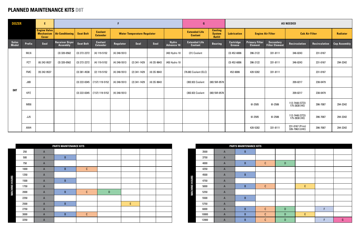#### **PLANNED MAINTENANCE KITS D8T**

| <b>DOZER</b>   |            | E.                                  |                                     |                  |                                   |                |                                    |               |                     | G                                      |                                           | <b>AS NEEDED</b>           |                                         |                             |                                   |                      |                     |
|----------------|------------|-------------------------------------|-------------------------------------|------------------|-----------------------------------|----------------|------------------------------------|---------------|---------------------|----------------------------------------|-------------------------------------------|----------------------------|-----------------------------------------|-----------------------------|-----------------------------------|----------------------|---------------------|
|                |            | <b>Engine Valve</b><br><b>Cover</b> | <b>Mechanism   Air Conditioning</b> | <b>Seat Belt</b> | <b>Coolant</b><br><b>Extender</b> |                | <b>Water Temperature Regulator</b> |               |                     | <b>Extended Life</b><br><b>Coolant</b> | <b>Cooling</b><br><b>System</b><br>Refill | <b>Lubrication</b>         |                                         | <b>Engine Air Filter</b>    | <b>Cab Air Filter</b>             |                      | <b>Radiator</b>     |
| Sales<br>Model | Prefix     | <b>Seal</b>                         | <b>Receiver Dryer</b><br>Assembly   | <b>Seat Belt</b> | <b>Coolant</b><br><b>Extender</b> | Regulator      | Seal                               | Seal          | Hydro<br>Advance 10 | <b>Extended Life</b><br>Coolant        | <b>Bearing</b>                            | <b>Cartridge</b><br>Grease | <b>Primary Filter</b><br><b>Element</b> | Secondary<br>Filter Element | <b>Recirculation</b>              | <b>Recirculation</b> | <b>Cap Assembly</b> |
|                | <b>MLN</b> |                                     | $(3)$ 320-0562                      | $(3)$ 272-2272   | $(4)$ 119-5152                    | $(4)$ 248-5513 |                                    |               | (40) Hydro 10       | (21) Coolant                           |                                           | $(3)$ 452-6006             | 396-2122                                | 331-8111                    | 346-8243                          | 231-0167             |                     |
|                | <b>FCT</b> | $(6)$ 242-9537                      | $(3)$ 320-0562                      | $(3)$ 272-2272   | $(4)$ 119-5152                    | $(4)$ 248-5513 | $(2)$ 341-1429                     | $(4)$ 3S-9643 | (40) Hydro 10       |                                        |                                           | $(3)$ 452-6006             | 396-2122                                | 331-8111                    | 346-8243                          | 231-0167             | 294-3342            |
|                | <b>FMC</b> | $(9)$ 242-9537                      |                                     | $(3)$ 381-4538   | (2) 119-5152                      | $(4)$ 248-5513 | $(2)$ 341-1429                     | $(4)$ 3S-9643 |                     | (76.80) Coolant (ELC)                  |                                           | 452-6006                   | 420-5282                                | 331-8111                    |                                   | 231-0167             |                     |
|                | J8B        |                                     |                                     |                  | $(3)$ 222-0345 (7.57) 119-5152    | $(4)$ 248-5513 | $(2)$ 341-1429                     | $(4)$ 3S-9643 |                     | (302.83) Coolant                       | (80) 5M-0578                              |                            |                                         |                             | 209-8217                          | 238-0479             |                     |
| D8T            | KPZ        |                                     |                                     |                  | $(3)$ 222-0345 (7.57) 119-5152    | $(4)$ 248-5513 |                                    |               |                     | (302.83) Coolant                       | (80) 5M-0578                              |                            |                                         |                             | 209-8217                          | 238-0479             |                     |
|                | MB8        |                                     |                                     |                  |                                   |                |                                    |               |                     |                                        |                                           |                            | 61-2505                                 | 61-2506                     | 112-7448 (STD)<br>175-2838 (HE)   | 396-7087             | 294-3342            |
|                | JJ5        |                                     |                                     |                  |                                   |                |                                    |               |                     |                                        |                                           |                            | 61-2505                                 | 61-2506                     | 112-7448 (STD)<br>175-2838 (HE)   | 396-7087             | 294-3342            |
|                | AW4        |                                     |                                     |                  |                                   |                |                                    |               |                     |                                        |                                           |                            | 420-5282                                | 331-8111                    | 231-0167 (Prim)<br>326-7963 (UHE) | 396-7087             | 294-3342            |

|                      |      |                | <b>PARTS MAINTENANCE KITS</b> |             |             |   |  |
|----------------------|------|----------------|-------------------------------|-------------|-------------|---|--|
|                      | 250  | $\overline{A}$ |                               |             |             |   |  |
|                      | 500  | $\overline{A}$ | B                             |             |             |   |  |
|                      | 750  | $\mathsf A$    |                               |             |             |   |  |
|                      | 1000 | $\overline{A}$ | $\sf B$                       | $\mathbb C$ |             |   |  |
|                      | 1250 | $\mathsf A$    |                               |             |             |   |  |
|                      | 1500 | $\overline{A}$ | $\sf B$                       |             |             |   |  |
|                      | 1750 | $\overline{A}$ |                               |             |             |   |  |
| <b>MACHINE HOURS</b> | 2000 | $\mathsf A$    | $\sf B$                       | $\mathbb C$ | $\mathsf D$ |   |  |
|                      | 2250 | $\mathsf A$    |                               |             |             |   |  |
|                      | 2500 | $\overline{A}$ | $\sf B$                       |             |             | E |  |
|                      | 2750 | $\mathsf A$    |                               |             |             |   |  |
|                      | 3000 | $\overline{A}$ | $\sf B$                       | $\mathbb C$ |             |   |  |
|                      | 3250 | $\mathsf A$    |                               |             |             |   |  |

|                      |       |                  | <b>PARTS MAINTENANCE KITS</b> |             |             |   |   |   |
|----------------------|-------|------------------|-------------------------------|-------------|-------------|---|---|---|
|                      | 3500  | $\mathsf A$      | $\sf B$                       |             |             |   |   |   |
|                      | 3750  | $\mathsf A$      |                               |             |             |   |   |   |
|                      | 4000  | $\mathsf A$      | $\sf B$                       | $\mathbb C$ | $\mathsf D$ |   |   |   |
|                      | 4250  | $\mathsf A$      |                               |             |             |   |   |   |
|                      | 4500  | $\mathsf A$      | $\sf B$                       |             |             |   |   |   |
|                      | 4750  | $\mathsf A$      |                               |             |             |   |   |   |
|                      | 5000  | $\mathsf A$      | $\sf B$                       | $\mathbb C$ |             | E |   |   |
| <b>MACHINE HOURS</b> | 5250  | $\boldsymbol{A}$ |                               |             |             |   |   |   |
|                      | 5500  | $\mathsf A$      | $\sf B$                       |             |             |   |   |   |
|                      | 5750  | $\mathsf A$      |                               |             |             |   |   |   |
|                      | 6000  | $\boldsymbol{A}$ | $\sf B$                       | $\mathbb C$ | $\mathsf D$ |   | F |   |
|                      | 10000 | $\boldsymbol{A}$ | $\sf B$                       | C           | $\mathsf D$ | E |   |   |
|                      | 12000 | $\mathsf A$      | B                             | C           | ${\sf D}$   |   | F | G |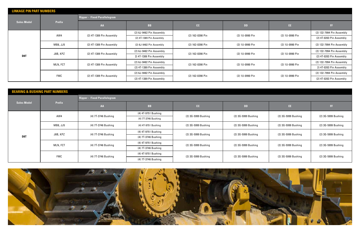| <b>LINKAGE PIN PART NUMBERS</b> |               |                                     |                          |                  |                 |                 |                           |
|---------------------------------|---------------|-------------------------------------|--------------------------|------------------|-----------------|-----------------|---------------------------|
|                                 |               | <b>Ripper - Fixed Parallelogram</b> |                          |                  |                 |                 |                           |
| <b>Sales Model</b>              | <b>Prefix</b> | AA                                  | <b>BB</b>                | cc               | <b>DD</b>       | EE.             | ÆF                        |
|                                 | AW4           | (2) 4T-1389 Pin Assembly            | (2) 6J-9482 Pin Assembly | (2) 162-0390 Pin | (2) 1U-0990 Pin | (2) 1U-0990 Pin | (2) 132-7994 Pin Assembly |
|                                 |               |                                     | (2) 4T-1389 Pin Assembly |                  |                 |                 | (2) 4T-0203 Pin Assembly  |
|                                 | MB8, JJ5      | (2) 4T-1389 Pin Assembly            | (2) 6J-9482 Pin Assembly | (2) 162-0390 Pin | (2) 1U-0990 Pin | (2) 1U-0990 Pin | (2) 132-7994 Pin Assembly |
|                                 |               | (2) 4T-1389 Pin Assembly            | (2) 6J-9482 Pin Assembly | (2) 162-0390 Pin | (2) 1U-0990 Pin | (2) 1U-0990 Pin | (2) 132-7994 Pin Assembly |
| D8T                             | J8B, KPZ      |                                     | 2) 4T-1389 Pin Assembly  |                  |                 |                 | (2) 4T-0203 Pin Assembly  |
|                                 | MLN, FCT      | (2) 4T-1389 Pin Assembly            | (2) 6J-9482 Pin Assembly | (2) 162-0390 Pin | (2) 1U-0990 Pin | (2) 1U-0990 Pin | (2) 132-7994 Pin Assembly |
|                                 |               |                                     | (2) 4T-1389 Pin Assembly |                  |                 |                 | 2) 4T-0203 Pin Assembly   |
|                                 | <b>FMC</b>    | (2) 4T-1389 Pin Assembly            | (2) 6J-9482 Pin Assembly | (2) 162-0390 Pin | (2) 1U-0990 Pin | (2) 1U-0990 Pin | (2) 132-7994 Pin Assembly |
|                                 |               |                                     | (2) 4T-1389 Pin Assembly |                  |                 |                 | (2) 4T-0203 Pin Assembly  |

| <b>BEARING &amp; BUSHING PART NUMBERS</b> |            |                                     |                     |                     |                     |                     |                     |  |
|-------------------------------------------|------------|-------------------------------------|---------------------|---------------------|---------------------|---------------------|---------------------|--|
|                                           |            | <b>Ripper - Fixed Parallelogram</b> |                     |                     |                     |                     |                     |  |
| <b>Sales Model</b>                        | Prefix     | AA                                  | ${\bf B} {\bf B}$   | cc                  | <b>DD</b>           | EE.                 | ÆF,                 |  |
|                                           | AW4        | (4) 7T-3746 Bushing                 | (4) 4T-9751 Bushing | (2) 3G-5999 Bushing | (2) 3G-5999 Bushing | (2) 3G-5999 Bushing | (2) 3G-5999 Bushing |  |
|                                           |            |                                     | (4) 7T-3746 Bushing |                     |                     |                     |                     |  |
|                                           | MB8, JJ5   | (4) 7T-3746 Bushing                 | (4) 4T-9751 Bushing | (2) 3G-5999 Bushing | (2) 3G-5999 Bushing | (2) 3G-5999 Bushing | (2) 3G-5999 Bushing |  |
|                                           | J8B, KPZ   | (4) 7T-3746 Bushing                 | (4) 4T-9751 Bushing | (2) 3G-5999 Bushing | (2) 3G-5999 Bushing | (2) 3G-5999 Bushing |                     |  |
| D8T                                       |            |                                     | (4) 7T-3746 Bushing |                     |                     |                     | (2) 3G-5999 Bushing |  |
|                                           | MLN, FCT   | (4) 7T-3746 Bushing                 | (4) 4T-9751 Bushing | (2) 3G-5999 Bushing | (2) 3G-5999 Bushing | (2) 3G-5999 Bushing | (2) 3G-5999 Bushing |  |
|                                           |            |                                     | (4) 7T-3746 Bushing |                     |                     |                     |                     |  |
|                                           | <b>FMC</b> | (4) 7T-3746 Bushing                 | (4) 4T-9751 Bushing | (2) 3G-5999 Bushing | (2) 3G-5999 Bushing | (2) 3G-5999 Bushing | (2) 3G-5999 Bushing |  |
|                                           |            |                                     | (4) 7T-3746 Bushing |                     |                     |                     |                     |  |

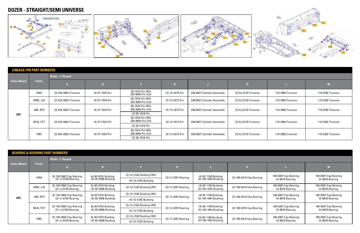

|                    | <b>LINKAGE PIN PART NUMBERS</b> |                         |                                                          |                                                          |                 |                            |                      |                   |                   |
|--------------------|---------------------------------|-------------------------|----------------------------------------------------------|----------------------------------------------------------|-----------------|----------------------------|----------------------|-------------------|-------------------|
|                    |                                 | <b>Blade - L Shaped</b> |                                                          |                                                          |                 |                            |                      |                   |                   |
| <b>Sales Model</b> | <b>Prefix</b>                   | <b>III</b> A            | $\mathbf{B}$                                             |                                                          |                 |                            |                      |                   |                   |
|                    | AW4                             | (2) 524-4892 Trunnion   | (4) 4T-7534 Pin                                          | 3G-7016 Pin (RH)<br>239-9940 Pin (LH)                    | (2) 1U-2472 Pin | 238-8637 Cylinder Assembly | (2) 9J-0123 Trunnion | 110-2966 Trunnion | 110-3292 Trunnion |
|                    | MB8, JJ5                        | (2) 524-4892 Trunnion   | (4) 4T-7534 Pin                                          | 3G-7016 Pin (RH)<br>239-9940 Pin (LH)                    | (2) 1U-2472 Pin | 238-8637 Cylinder Assembly | (2) 9J-0123 Trunnion | 110-2966 Trunnion | 110-3292 Trunnion |
|                    | J8B, KPZ                        | (2) 524-4892 Trunnion   | (4) 4T-7534 Pin                                          | 3G-7016 Pin (RH)<br>239-9940 Pin (LH)<br>(2) 3G-7016 Pin | (2) 1U-2472 Pin | 238-8637 Cylinder Assembly | (2) 9J-0123 Trunnion | 110-2966 Trunnion | 110-3292 Trunnion |
| D8T                | MLN, FCT                        | (2) 524-4892 Trunnion   | 3G-7016 Pin (RH)<br>239-9940 Pin (LH)<br>(4) 4T-7534 Pin |                                                          | (2) 1U-2472 Pin | 238-8637 Cylinder Assembly | (2) 9J-0123 Trunnion | 110-2966 Trunnion | 110-3292 Trunnion |
|                    |                                 |                         |                                                          | (2) 3G-7016 Pin                                          |                 |                            |                      |                   |                   |
|                    | <b>FMC</b>                      | (2) 524-4892 Trunnion   | (4) 4T-7534 Pin                                          | 3G-7016 Pin (RH)<br>239-9940 Pin (LH)                    | (2) 1U-2472 Pin | 238-8637 Cylinder Assembly | (2) 9J-0123 Trunnion | 110-2966 Trunnion | 110-3292 Trunnion |
|                    |                                 |                         |                                                          | (2) 3G-7016 Pin                                          |                 |                            |                      |                   |                   |

|                    |               | <b>BEARING &amp; BUSHING PART NUMBERS</b>       |                                           |                          |                     |                                             |                          |                                         |                                         |
|--------------------|---------------|-------------------------------------------------|-------------------------------------------|--------------------------|---------------------|---------------------------------------------|--------------------------|-----------------------------------------|-----------------------------------------|
|                    |               | <b>Blade - L Shaped</b>                         |                                           |                          |                     |                                             |                          |                                         |                                         |
| <b>Sales Model</b> | <b>Prefix</b> |                                                 | B.                                        |                          |                     |                                             |                          |                                         |                                         |
|                    | AW4           | (2) 193-3063 Cap Bearing                        | 8x 8E-6752 Bushing                        | (2) 1U-2182 Bushing (RH) | (2) 7J-3297 Bearing | (4) 6E-1108 Bushing                         | (2) 160-6310 Cap Bearing | 160-6307 Cap Bearing                    | 160-6307 Cap Bearing                    |
|                    |               | $(2)$ 1J-6740 Bearing                           | (4) 3G-9598 Bushing                       | (4) 1U-2182 Bushing      |                     | (4) 104-1844 Bushing                        |                          | 61-8676 Bearing                         | 61-8676 Bearing                         |
|                    | MB8, JJ5      | (2) 193-3063 Cap Bearing<br>(2) 1J-6740 Bearing | 8x 8E-6752 Bushing<br>(4) 3G-9598 Bushing | (2) 1U-2182 Bushing (RH) | (2) 7J-3297 Bearing | (4) 6E-1108 Bushing<br>(4) 104-1844 Bushing | (2) 160-6310 Cap Bearing | 160-6307 Cap Bearing<br>61-8676 Bearing | 160-6307 Cap Bearing<br>61-8676 Bearing |
|                    | J8B, KPZ      | (2) 193-3063 Cap Bearing                        | 8x 8E-6752 Bushing                        | (2) 1U-2182 Bushing (RH) | (2) 7J-3297 Bearing | (4) 6E-1108 Bushing                         | (2) 160-6310 Cap Bearing | 160-6307 Cap Bearing                    | 160-6307 Cap Bearing                    |
| D <sub>8</sub> T   |               | (2) 1J-6740 Bearing                             | (4) 3G-9598 Bushing                       | (4) 1U-2182 Bushing      |                     | (4) 104-1844 Bushing                        |                          | 61-8676 Bearing                         | 61-8676 Bearing                         |
|                    | MLN, FCT      | (2) 193-3063 Cap Bearing                        | 8x 8E-6752 Bushing                        | (2) 1U-2182 Bushing (RH) | (2) 7J-3297 Bearing | (4) 6E-1108 Bushing                         | (2) 160-6310 Cap Bearing | 160-6307 Cap Bearing                    | 160-6307 Cap Bearing                    |
|                    |               | $(2)$ 1J-6740 Bearing                           | (4) 3G-9598 Bushing                       | (4) 1U-2182 Bushing      |                     | (4) 104-1844 Bushing                        |                          | 61-8676 Bearing                         | 61-8676 Bearing                         |
|                    | <b>FMC</b>    | (2) 193-3063 Cap Bearing                        | 8x 8E-6752 Bushing                        | (2) 1U-2182 Bushing (RH) | (2) 7J-3297 Bearing | (4) 6E-1108 Bushing                         | (2) 160-6310 Cap Bearing | 160-6307 Cap Bearing                    | 160-6307 Cap Bearing                    |
|                    |               | (2) 1J-6740 Bearing                             | (4) 3G-9598 Bushing                       | (4) 1U-2182 Bushing      |                     | (4) 104-1844 Bushing                        |                          | 61-8676 Bearing                         | 61-8676 Bearing                         |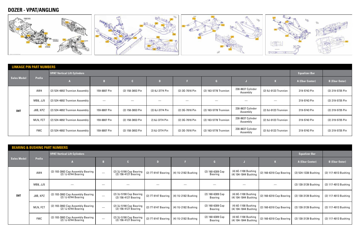### **DOZER - VPAT/ANGLING**



| <b>LINKAGE PIN PART NUMBERS</b> |               |                                     |              |                  |                 |                 |                       |                               |                      |                      |                       |
|---------------------------------|---------------|-------------------------------------|--------------|------------------|-----------------|-----------------|-----------------------|-------------------------------|----------------------|----------------------|-----------------------|
|                                 |               | <b>VPAT Vertical Lift Cylinders</b> |              |                  |                 |                 |                       |                               |                      | <b>Equalizer Bar</b> |                       |
| <b>Sales Model</b>              | <b>Prefix</b> |                                     |              |                  |                 |                 |                       |                               |                      | A (Ebar Center)      | <b>B</b> (Ebar Outer) |
|                                 | AW4           | $(2)$ 524-4892 Trunnion Assembly    | 159-8807 Pin | (2) 158-3653 Pin | (2) 6J-3774 Pin | (2) 3G-7016 Pin | (2) 163-5778 Trunnion | 238-8637 Cylinder<br>Assembly | (2) 9J-0123 Trunnion | 219-5743 Pin         | (2) 219-5735 Pin      |
|                                 | MB8, JJ5      | $(2)$ 524-4892 Trunnion Assembly    |              |                  |                 |                 |                       |                               |                      | 219-5743 Pin         | (2) 219-5735 Pin      |
| D8T                             | J8B, KPZ      | $(2)$ 524-4892 Trunnion Assembly    | 159-8807 Pin | (2) 158-3653 Pin | (2) 6J-3774 Pin | (2) 3G-7016 Pin | (2) 163-5778 Trunnion | 238-8637 Cylinder<br>Assembly | (2) 9J-0123 Trunnion | 219-5743 Pin         | (2) 219-5735 Pin      |
|                                 | MLN, FCT      | (2) 524-4892 Trunnion Assembly      | 159-8807 Pin | (2) 158-3653 Pin | 2) 6J-3774 Pin  | (2) 3G-7016 Pin | (2) 163-5778 Trunnion | 238-8637 Cylinder<br>Assembly | (2) 9J-0123 Trunnion | 219-5743 Pin         | (2) 219-5735 Pin      |
|                                 | <b>FMC</b>    | (2) 524-4892 Trunnion Assembly      | 159-8807 Pin | (2) 158-3653 Pin | 2) 6J-3774 Pin  | (2) 3G-7016 Pin | (2) 163-5778 Trunnion | 238-8637 Cylinder<br>Assembly | (2) 9J-0123 Trunnion | 219-5743 Pin         | (2) 219-5735 Pin      |

| <b>BEARING &amp; BUSHING PART NUMBERS</b> |
|-------------------------------------------|
|                                           |
|                                           |
|                                           |
|                                           |
|                                           |
|                                           |
|                                           |
|                                           |
|                                           |
|                                           |
|                                           |
|                                           |
|                                           |
|                                           |
|                                           |
|                                           |
|                                           |
|                                           |
|                                           |
|                                           |
|                                           |
|                                           |
|                                           |
|                                           |

| <b>BEARING &amp; BUSHING PART NUMBERS</b> |               |                                                            |                                 |                                                   |                       |                     |                                      |                                             |                          |                      |                       |
|-------------------------------------------|---------------|------------------------------------------------------------|---------------------------------|---------------------------------------------------|-----------------------|---------------------|--------------------------------------|---------------------------------------------|--------------------------|----------------------|-----------------------|
|                                           |               | <b>VPAT Vertical Lift Cylinders</b>                        |                                 |                                                   |                       |                     |                                      |                                             |                          | <b>Equalizer Bar</b> |                       |
| <b>Sales Model</b>                        | <b>Prefix</b> |                                                            | R                               |                                                   | $\mathbf{D}$          |                     |                                      |                                             |                          | A (Ebar Center)      | <b>B</b> (Ebar Outer) |
|                                           | AW4           | (2) 193-3063 Cap Assembly Bearing<br>$(2)$ 1J-6744 Bearing | $\frac{1}{2}$                   | (2) 3J-5190 Cap Bearing<br>$(2)$ 156-4127 Bearing | (2) 7T-9147 Bearing   | (4) 1U-2182 Bushing | $(2)$ 160-6309 $Cap$<br>Bearing      | (4) 6E-1108 Bushing<br>(4) 104-1844 Bushing | (2) 160-6310 Cap Bearing | (2) 524-1338 Bushing | (2) 117-4013 Bushing  |
|                                           | MB8, JJ5      |                                                            |                                 |                                                   |                       |                     |                                      |                                             |                          | (2) 130-3139 Bushing | (2) 117-4013 Bushing  |
| D8T                                       | J8B, KPZ      | (2) 193-3063 Cap Assembly Bearing<br>(2) 1J-6744 Bearing   | $\frac{1}{1}$                   | (2) 3J-5190 Cap Bearing<br>(2) 156-4127 Bearing   | (2) $7T-9147$ Bearing | (4) 1U-2182 Bushing | $(2)$ 160-6309 $Cap$<br>Bearing      | (4) 6E-1108 Bushing<br>(4) 104-1844 Bushing | (2) 160-6310 Cap Bearing | (2) 130-3139 Bushing | (2) 117-4013 Bushing  |
|                                           | MLN, FCT      | (2) 193-3063 Cap Assembly Bearing<br>(2) 1J-6744 Bearing   | $\hspace{0.1mm}-\hspace{0.1mm}$ | (2) 3J-5190 Cap Bearing<br>(2) 156-4127 Bearing   | (2) $7T-9147$ Bearing | (4) 1U-2182 Bushing | $(2)$ 160-6309 Cap<br><b>Bearing</b> | (4) 6E-1108 Bushing<br>(4) 104-1844 Bushing | (2) 160-6310 Cap Bearing | (2) 130-3139 Bushing | (2) 117-4013 Bushing  |
|                                           | <b>FMC</b>    | (2) 193-3063 Cap Assembly Bearing<br>(2) 1J-6744 Bearing   | $\frac{1}{2}$                   | (2) 3J-5190 Cap Bearing<br>(2) 156-4127 Bearing   | (2) $7T-9147$ Bearing | (4) 1U-2182 Bushing | (2) 160-6309 Cap<br>Bearing          | (4) 6E-1108 Bushing<br>(4) 104-1844 Bushing | (2) 160-6310 Cap Bearing | (2) 130-3139 Bushing | (2) 117-4013 Bushing  |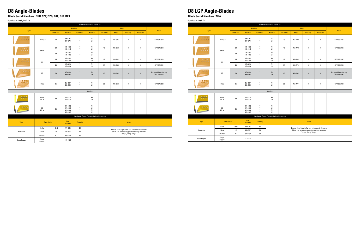### **D8 Angle-Blades**

**Blade Serial Numbers: BHR, 9ZP, DZD, D1E, D1F, DK4**

Applies to: D8R, D8T, D8

| End Bits and Cutting Edges 13" |                    |                  |                                              |                                  |                                            |                  |              |                      |                                                   |                                       |  |  |
|--------------------------------|--------------------|------------------|----------------------------------------------|----------------------------------|--------------------------------------------|------------------|--------------|----------------------|---------------------------------------------------|---------------------------------------|--|--|
| Type                           |                    |                  |                                              | <b>End Bits</b>                  |                                            |                  |              | Edges                |                                                   | <b>Notes</b>                          |  |  |
|                                |                    | <b>Thickness</b> | <b>End Bits</b>                              | <b>Hardware</b>                  | <b>Position</b>                            | <b>Thickness</b> | <b>Edges</b> | <b>Quantity</b>      | Hardware                                          |                                       |  |  |
| o o o<br>0.0.0.0               | Level Cut          | 28               | 6Y-4277<br>6Y-4278                           | $\overline{7}$<br>$\overline{7}$ | RH<br>LH                                   | 28               | 135-9373     | 3                    | 8                                                 | GP: 507-2918                          |  |  |
| 0.0.0<br>.                     | Utility            | 50               | 100-3139<br>100-3140                         | $\overline{7}$<br>$\overline{7}$ | RH<br>LH                                   | 45               | 135-9629     | $\mathbf{3}$         | 8                                                 | GP: 507-2919                          |  |  |
|                                |                    | 60               | 136-8757<br>136-8756                         | $\overline{7}$<br>$\overline{1}$ | RH<br>LH                                   |                  |              |                      |                                                   |                                       |  |  |
| .<br>.                         | HC                 | 35               | 3G-8291<br>3G-8292                           | $\overline{7}$<br>$\overline{7}$ | RH<br>LH                                   | 28               | 135-9373     | 3                    | 8                                                 | GP: 507-2920                          |  |  |
|                                |                    | 40               | 3G-8283<br>3G-8284                           | $\overline{7}$<br>$\overline{7}$ | <b>RH</b><br>LH                            | 35               | 135-9628     | 3                    | 8                                                 | GP: 507-2921                          |  |  |
| .                              | GD                 | 30               | 8E-4193<br>8E-4194                           | $\overline{7}$<br>$\overline{7}$ | <b>RH</b><br>LH                            | 28               | 135-9373     | $\sqrt{3}$           | 8                                                 | Equipped from factory<br>GP: 135-9374 |  |  |
| 8000                           | <b>EWL</b>         | 35               | 8E-4537<br>8E-4538                           | $\overline{7}$<br>$\overline{7}$ | RH<br>LH                                   | 35               | 135-9628     | 3                    | 8                                                 | GP: 507-2922                          |  |  |
|                                |                    |                  |                                              |                                  | Specialty                                  |                  |              |                      |                                                   |                                       |  |  |
|                                | Utility<br>A.R.M.  | $50\,$           | 379-3173<br>379-3174                         | $\overline{7}$<br>$\overline{7}$ | RH<br>LH                                   |                  |              |                      |                                                   |                                       |  |  |
|                                | GD<br>A.R.M.       | 35               | 377-5059<br>377-5060<br>455-3704<br>455-3705 | $\overline{7}$<br>$\overline{7}$ | RH<br>LH<br>RH<br>LH                       |                  |              |                      |                                                   |                                       |  |  |
|                                |                    |                  |                                              |                                  | Hardware, Repair Parts and Wear Protection |                  |              |                      |                                                   |                                       |  |  |
| Type                           | <b>Description</b> |                  | Part<br><b>Number</b>                        | <b>Quantity</b>                  |                                            |                  |              | <b>Notes</b>         |                                                   |                                       |  |  |
|                                | <b>Bolts</b>       | $1-8 \times 3$   | 4F-4042                                      | 38                               |                                            |                  |              |                      | Ensure Base Edge is flat and not excessively worn |                                       |  |  |
| Hardware                       | Nuts               | $1 - 8$          | 2J-3507                                      | 38                               |                                            |                  |              | Torque, Bang, Torque | Clean and remove any paint on mating surfaces     |                                       |  |  |
|                                | Washers            | 1''              | 5P-8250                                      | 38                               |                                            |                  |              |                      |                                                   |                                       |  |  |
| <b>Blade Repair</b>            | Edge<br>Support    |                  | 147-3527                                     | $\overline{1}$                   |                                            |                  |              |                      |                                                   |                                       |  |  |

### **D8 LGP Angle-Blades**

**Blade Serial Numbers: 7HW**

Applies to: D8T, D8

|                     | End Bits and Cutting Edges 13" |                    |                                              |                                                                      |                                                                                                    |                  |              |                      |                  |                                       |  |  |  |
|---------------------|--------------------------------|--------------------|----------------------------------------------|----------------------------------------------------------------------|----------------------------------------------------------------------------------------------------|------------------|--------------|----------------------|------------------|---------------------------------------|--|--|--|
|                     |                                |                    |                                              | <b>End Bits</b>                                                      |                                                                                                    |                  |              | <b>Edges</b>         |                  |                                       |  |  |  |
| Type                |                                | <b>Thickness</b>   | <b>End Bits</b>                              | <b>Hardware</b>                                                      | <b>Position</b>                                                                                    | <b>Thickness</b> | <b>Edges</b> | <b>Quantity</b>      | <b>Hardware</b>  | <b>Notes</b>                          |  |  |  |
| o o o<br>0.0.0.0    | Level Cut                      | 28                 | 6Y-4277<br>6Y-4278                           | $\overline{7}$<br>$\overline{7}$                                     | RH<br>LH                                                                                           | 28               | 456-2889     | 3                    | 9                | GP: 565-2195                          |  |  |  |
| 0.0.0<br>.          |                                | $50\,$             | 100-3139<br>100-3140                         | $\overline{7}$<br>$\overline{7}$                                     | RH<br>LH                                                                                           | 45               | 456-7775     | 3                    | 9                | GP: 565-2196                          |  |  |  |
|                     | Utility                        | 60                 | 136-8757<br>136-8756                         | $\overline{7}$<br>$\overline{7}$                                     | <b>RH</b><br>LH                                                                                    |                  |              |                      |                  |                                       |  |  |  |
| .<br>.              |                                | 35                 | 3G-8291<br>3G-8292                           | $\overline{7}$<br>$\overline{7}$                                     | RH<br>LH                                                                                           | 28               | 456-2889     | 3                    | 9                | GP: 565-2197                          |  |  |  |
|                     | нc                             | 40                 | 3G-8283<br>3G-8284                           | $\overline{7}$<br>$\overline{7}$                                     | RH<br>LH                                                                                           | 35               | 456-7774     | 3                    | 9                | GP: 565-2198                          |  |  |  |
| .                   | GD                             | $30\,$             | 8E-4193<br>8E-4194                           | $\sqrt{ }$<br>$\overline{7}$                                         | RH<br>LH                                                                                           | 28               | 456-2889     | $\mathbf{3}$         | $\boldsymbol{9}$ | Equipped from factory<br>GP: 456-8297 |  |  |  |
| 8000                | <b>EWL</b>                     | 35                 | 8E-4537<br>8E-4538                           | $\overline{1}$<br>$\overline{7}$                                     | RH<br>LH                                                                                           | 35               | 456-7774     | 3                    | 9                | GP: 565-2199                          |  |  |  |
|                     |                                |                    |                                              |                                                                      | Specialty                                                                                          |                  |              |                      |                  |                                       |  |  |  |
| 1.11                | Utility<br>A.R.M.              | $50\,$             | 379-3173<br>379-3174                         | $\overline{7}$<br>$\overline{7}$                                     | RH<br>LH                                                                                           |                  |              |                      |                  |                                       |  |  |  |
| .                   | GD<br>A.R.M.                   | 35                 | 377-5059<br>377-5060<br>455-3704<br>455-3705 | $\overline{7}$<br>$\overline{7}$<br>$\overline{7}$<br>$\overline{7}$ | RH<br>LH<br>RH<br>LH                                                                               |                  |              |                      |                  |                                       |  |  |  |
|                     |                                |                    |                                              |                                                                      | Hardware, Repair Parts and Wear Protection                                                         |                  |              |                      |                  |                                       |  |  |  |
| Type                | <b>Description</b>             |                    | Part<br><b>Number</b>                        | <b>Quantity</b>                                                      | <b>Notes</b>                                                                                       |                  |              |                      |                  |                                       |  |  |  |
|                     | <b>Bolts</b>                   | $1-8 \times 3$     | 4F-4042                                      | 38                                                                   | Ensure Base Edge is flat and not excessively worn<br>Clean and remove any paint on mating surfaces |                  |              |                      |                  |                                       |  |  |  |
| Hardware            | Nuts                           | $1 - 8$            | 2J-3507                                      | 38                                                                   |                                                                                                    |                  |              | Torque, Bang, Torque |                  |                                       |  |  |  |
|                     | Washers                        | $1^{\prime\prime}$ | 5P-8250                                      | 38                                                                   |                                                                                                    |                  |              |                      |                  |                                       |  |  |  |
| <b>Blade Repair</b> | Edge<br>Support                |                    | 147-3527                                     | $\overline{1}$                                                       |                                                                                                    |                  |              |                      |                  |                                       |  |  |  |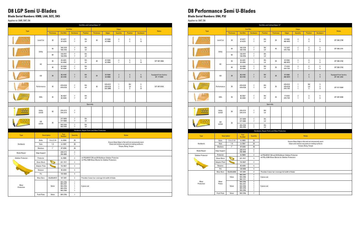#### **D8 LGP Semi U-Blades**

**Blade Serial Numbers: KMB, LAA, DZC, DK5**

Applies to: D8R, D8T, D8

| End Bits and Cutting Edges 13" |                      |                                                     |                                                                              |                                    |                 |                                                                                                        |                                  |                                                                                                    |                      |                       |                                      |  |  |
|--------------------------------|----------------------|-----------------------------------------------------|------------------------------------------------------------------------------|------------------------------------|-----------------|--------------------------------------------------------------------------------------------------------|----------------------------------|----------------------------------------------------------------------------------------------------|----------------------|-----------------------|--------------------------------------|--|--|
| Type                           |                      |                                                     |                                                                              | <b>End Bits</b>                    |                 |                                                                                                        |                                  | <b>Edges</b>                                                                                       |                      |                       | <b>Notes</b>                         |  |  |
|                                |                      | <b>Thickness</b>                                    | <b>End Bits</b>                                                              | <b>Hardware</b>                    | <b>Position</b> | <b>Thickness</b>                                                                                       | <b>Edges</b>                     | <b>Quantity</b>                                                                                    | <b>Position</b>      | <b>Hardware</b>       |                                      |  |  |
| (0, 0, 0)<br>0.0000            | Level Cut            | 28                                                  | 6Y-4277<br>6Y-4278                                                           | $\overline{1}$<br>$\overline{1}$   | RH<br>LH        | 28                                                                                                     | 6Y-5540<br>4Z-9058               | $\overline{\mathbf{2}}$<br>$\overline{1}$                                                          | Ε<br>C               | 5<br>13               |                                      |  |  |
| 0.0.0<br>0.0.0.0               | Utility              | $50\,$                                              | 100-3139<br>100-3140                                                         | $\boldsymbol{7}$<br>$\overline{1}$ | RH<br>LH        |                                                                                                        |                                  |                                                                                                    |                      |                       |                                      |  |  |
|                                |                      | 60                                                  | 136-8757<br>136-8756                                                         | $\boldsymbol{7}$<br>$\overline{1}$ | RH<br>LH        |                                                                                                        |                                  |                                                                                                    |                      |                       |                                      |  |  |
| 0.0.0<br>                      | НC                   | 35                                                  | 3G-8291<br>3G-8292                                                           | $\overline{7}$<br>$\overline{7}$   | RH<br>LH        | 28                                                                                                     | 6Y-5540<br>4Z-9058               | $\overline{2}$<br>$\mathbf{1}$                                                                     | Ε<br>$\mathbb C$     | 5<br>13               | GP: 507-2926                         |  |  |
|                                |                      | 40                                                  | 3G-8283<br>3G-8284                                                           | $\overline{7}$<br>$\overline{7}$   | RH<br>LH        |                                                                                                        |                                  |                                                                                                    |                      |                       |                                      |  |  |
| 医血液性                           | GD                   | $30\,$                                              | 8E-4193<br>8E-4194                                                           | $\overline{1}$<br>$\overline{1}$   | RH<br>LH        | 28                                                                                                     |                                  | $\overline{2}$<br>$\overline{2}$                                                                   | E<br>C               | $5\phantom{.0}$<br>13 | Equipped from factory<br>GP: 7T-5559 |  |  |
| 000<br>nno o                   | Performance          | 35                                                  | 479-8129<br>479-8130                                                         | $\overline{1}$<br>$\overline{7}$   | RH<br>LH        | 35                                                                                                     | 479-8131<br>479-8132<br>522-3986 | $\overline{1}$<br>$\overline{1}$<br>$\overline{1}$                                                 | RH<br>LH<br>C        | 5<br>5<br>13          | GP: 497-8143                         |  |  |
| 0.0.0<br>0000                  | EWL                  | 35                                                  | 8E-4537<br>8E-4538                                                           | $\overline{1}$<br>$\overline{7}$   | RH<br>LH        |                                                                                                        |                                  |                                                                                                    |                      |                       |                                      |  |  |
|                                |                      |                                                     |                                                                              |                                    | Specialty       |                                                                                                        |                                  |                                                                                                    |                      |                       |                                      |  |  |
|                                | Utility<br>A.R.M     | $50\,$                                              | 379-3173<br>379-3174                                                         | $\overline{1}$<br>$\overline{7}$   |                 |                                                                                                        |                                  |                                                                                                    |                      |                       |                                      |  |  |
| .                              | GD                   | 35                                                  | 377-5059<br>377-5060                                                         | $\overline{7}$<br>$\overline{1}$   | RH<br>LH        |                                                                                                        |                                  |                                                                                                    |                      |                       |                                      |  |  |
|                                | A.R.M                |                                                     | 455-3704<br>455-3705                                                         | $\overline{7}$<br>$\overline{7}$   | RH<br>LH        |                                                                                                        |                                  |                                                                                                    |                      |                       |                                      |  |  |
|                                |                      |                                                     |                                                                              |                                    |                 | Hardware, Repair Parts and Wear Protection                                                             |                                  |                                                                                                    |                      |                       |                                      |  |  |
| <b>Type</b>                    | <b>Description</b>   |                                                     | Part<br><b>Number</b>                                                        | <b>Quantity</b>                    |                 |                                                                                                        |                                  |                                                                                                    | <b>Notes</b>         |                       |                                      |  |  |
|                                | <b>Bolts</b>         | $1 - 8 \times 3 - 1/4$                              | 4J-9058                                                                      | $36\,$                             |                 |                                                                                                        |                                  |                                                                                                    |                      |                       |                                      |  |  |
| Hardware                       | Nuts                 | $1 - 8$                                             | 2J-3507                                                                      | $36\,$                             |                 |                                                                                                        |                                  | Ensure Base Edge is flat and not excessively worn<br>Clean and remove any paint on mating surfaces |                      |                       |                                      |  |  |
|                                | Washers              | $1^{\prime\prime}$                                  | 5P-8250                                                                      | 36                                 |                 |                                                                                                        |                                  |                                                                                                    | Torque, Bang, Torque |                       |                                      |  |  |
| <b>Blade Repair</b>            | <b>Edge Support</b>  |                                                     | 239-4172<br>256-4890                                                         | $\overline{2}$<br>$\mathbf{1}$     |                 |                                                                                                        |                                  |                                                                                                    |                      |                       |                                      |  |  |
| Sidebar Protector              | Protector            |                                                     | 9J-9600                                                                      | $\overline{2}$                     |                 | ref PELM1017 D8 and D9 Bulldozer Sidebar Protector<br>ref PELJ1389 Shear Blocks for Sidebar Protectors |                                  |                                                                                                    |                      |                       |                                      |  |  |
|                                | Shear Block          |                                                     | 331-7417                                                                     | $\mathbf{2}$                       |                 |                                                                                                        |                                  |                                                                                                    |                      |                       |                                      |  |  |
|                                | <b>Adapter Plate</b> |                                                     | 152-0027                                                                     | $\mathbf{2}$                       |                 |                                                                                                        |                                  |                                                                                                    |                      |                       |                                      |  |  |
|                                | Retainer             |                                                     | 8E-6359                                                                      | $\pmb{4}$                          |                 |                                                                                                        |                                  |                                                                                                    |                      |                       |                                      |  |  |
|                                | Pin                  |                                                     | 135-9350                                                                     | $\pmb{4}$                          |                 |                                                                                                        |                                  |                                                                                                    |                      |                       |                                      |  |  |
|                                | <b>Wear Bars</b>     | 25x203x4572                                         | 107-3391                                                                     | $\mathbf{2}$                       |                 | Provides 2 wear bar coverage full width of blade                                                       |                                  |                                                                                                    |                      |                       |                                      |  |  |
| Wear<br>Protection             | 16mm                 | 9W-2756<br>9W-2757<br>9W-2758<br>9W-2759<br>9W-2760 | $\mathbf{1}$<br>$\mathbf{1}$<br>$\mathbf{1}$<br>$\mathbf{1}$<br>$\mathbf{1}$ | 5 piece set                        |                 |                                                                                                        |                                  |                                                                                                    |                      |                       |                                      |  |  |
|                                | Push Plate           | 16mm                                                | 9W-2756                                                                      | $\mathbf{1}$                       |                 |                                                                                                        |                                  |                                                                                                    |                      |                       |                                      |  |  |

#### **D8 Performance Semi U-Blades**

**Blade Serial Numbers: SN4, P32**

Applies to: D8T, D8

|                                           | End Bits and Cutting Edges 13" |                    |                               |                                              |                                                                                                                                                 |                                                    |                      |                                                   |                      |                                |                                       |  |  |  |
|-------------------------------------------|--------------------------------|--------------------|-------------------------------|----------------------------------------------|-------------------------------------------------------------------------------------------------------------------------------------------------|----------------------------------------------------|----------------------|---------------------------------------------------|----------------------|--------------------------------|---------------------------------------|--|--|--|
|                                           |                                |                    |                               | <b>End Bits</b>                              |                                                                                                                                                 |                                                    |                      | <b>Edges</b>                                      |                      |                                |                                       |  |  |  |
| <b>Type</b>                               |                                | <b>Thickness</b>   | <b>End Bits</b>               | <b>Hardware</b>                              | <b>Position</b>                                                                                                                                 | <b>Thickness</b>                                   | <b>Edges</b>         | <b>Quantity</b>                                   | <b>Position</b>      | <b>Hardware</b>                | <b>Notes</b>                          |  |  |  |
| 0.00<br>0.0.0.0                           | Level Cut                      | 28                 | 6Y-4277<br>6Y-4278            | $\overline{7}$<br>$\overline{7}$             | RH<br>LH                                                                                                                                        | 28                                                 | 6Y-5540<br>460-4973  | $\sqrt{2}$<br>$\mathbf{1}$                        | $\sf E$<br>C         | $\sqrt{5}$<br>$\boldsymbol{9}$ | GP: 565-2190                          |  |  |  |
| 0.0.0<br>0.0.0.0                          |                                | $50\,$             | 100-3139<br>100-3140          | $\overline{7}$<br>$\overline{7}$             | RH<br>LH                                                                                                                                        | 45                                                 | 112-2471<br>474-7182 | $\overline{2}$<br>$\mathbf{1}$                    | E<br>С               | $\sqrt{5}$<br>$\boldsymbol{9}$ | GP: 565-2191                          |  |  |  |
|                                           | Utility                        | 60                 | 136-8757<br>136-8756          | $\overline{7}$<br>$\overline{7}$             | RH<br>LH                                                                                                                                        |                                                    |                      |                                                   |                      |                                |                                       |  |  |  |
| $\qquad \qquad \bullet \quad \bullet$<br> | HC                             | 35                 | 3G-8291<br>3G-8292            | $\overline{7}$<br>$\overline{7}$             | RH<br>LH                                                                                                                                        | 28                                                 | 6Y-5540<br>460-4973  | $\sqrt{2}$<br>$\mathbf{1}$                        | Ε<br>С               | 5<br>9                         | GP: 565-2192                          |  |  |  |
|                                           |                                | 40                 | 3G-8283<br>3G-8284            | $\overline{7}$<br>$\overline{7}$             | RH<br>LH                                                                                                                                        | 35                                                 | 7T-9125<br>474-7181  | $\sqrt{2}$<br>$\mathbf{1}$                        | Ε<br>$\mathbb C$     | $\sqrt{5}$<br>9                | GP: 565-2193                          |  |  |  |
|                                           | GD                             | 30                 | 8E-4193<br>8E-4194            | $\overline{7}$<br>$\overline{1}$             | <b>RH</b><br>LH                                                                                                                                 | 28                                                 | 6Y-5540<br>460-4973  | $\overline{2}$<br>$\mathbf{1}$                    | E<br>C               | $\sqrt{5}$<br>$\boldsymbol{9}$ | Equipped from factory<br>GP: 461-2342 |  |  |  |
| 0.00000                                   | Performance                    | 35                 | 479-8129<br>479-8130          | $\overline{7}$<br>$\overline{7}$             | 479-8131<br>RH<br>5<br>1<br>RH<br>479-8132<br>LH<br>$\sqrt{5}$<br>35<br>$\mathbf{1}$<br>LH<br>474-7181<br>С<br>$\boldsymbol{9}$<br>$\mathbf{1}$ |                                                    |                      |                                                   |                      |                                | GP: 517-5504                          |  |  |  |
| 853                                       | EWL                            | 35                 | 8E-4537<br>8E-4538            | $\overline{7}$<br>$\overline{7}$             | RH<br>LH                                                                                                                                        | GP: 497-8346                                       |                      |                                                   |                      |                                |                                       |  |  |  |
|                                           |                                |                    |                               |                                              | Specialty                                                                                                                                       |                                                    |                      |                                                   |                      |                                |                                       |  |  |  |
| $\mathbf{B}=\mathbf{B}$                   | Utility<br>A.R.M               | 50                 | 379-3173<br>379-3174          | $\overline{7}$<br>$\overline{7}$             | RH<br>LH                                                                                                                                        |                                                    |                      |                                                   |                      |                                |                                       |  |  |  |
|                                           | GD                             |                    | 377-5059<br>377-5060          | $\overline{7}$<br>$\overline{7}$             | RH<br>LH                                                                                                                                        |                                                    |                      |                                                   |                      |                                |                                       |  |  |  |
|                                           | A.R.M                          | 35                 | 455-3704<br>455-3705          | $\overline{7}$<br>$\overline{7}$             | RH<br>LH                                                                                                                                        |                                                    |                      |                                                   |                      |                                |                                       |  |  |  |
|                                           |                                |                    |                               |                                              |                                                                                                                                                 | Hardware, Repair Parts and Wear Protection         |                      |                                                   |                      |                                |                                       |  |  |  |
| <b>Type</b>                               | <b>Description</b>             |                    | Part<br><b>Number</b>         | <b>Quantity</b>                              |                                                                                                                                                 |                                                    |                      |                                                   | <b>Notes</b>         |                                |                                       |  |  |  |
|                                           | <b>Bolts</b>                   | $1-8 \times 3-1/4$ | 4J-9058                       | 36                                           |                                                                                                                                                 |                                                    |                      | Ensure Base Edge is flat and not excessively worn |                      |                                |                                       |  |  |  |
| Hardware                                  | Nuts                           | $1 - 8$            | 2J-3507                       | 36                                           |                                                                                                                                                 |                                                    |                      | Clean and remove any paint on mating surfaces     | Torque, Bang, Torque |                                |                                       |  |  |  |
|                                           | Washers                        | $1''$              | 5P-8250<br>239-4172           | 36<br>$\overline{2}$                         |                                                                                                                                                 |                                                    |                      |                                                   |                      |                                |                                       |  |  |  |
| <b>Blade Repair</b>                       | <b>Edge Support</b>            |                    | 256-4890                      | $\mathbf{1}$                                 |                                                                                                                                                 |                                                    |                      |                                                   |                      |                                |                                       |  |  |  |
| Sidebar Protector                         | Protector                      |                    | 9J-9600                       | $\mathbf{2}$                                 |                                                                                                                                                 | ref PELM1017 D8 and D9 Bulldozer Sidebar Protector |                      |                                                   |                      |                                |                                       |  |  |  |
|                                           | Shear Block                    |                    | 331-7417                      |                                              | ref PELJ1389 Shear Blocks for Sidebar Protectors<br>$\overline{2}$                                                                              |                                                    |                      |                                                   |                      |                                |                                       |  |  |  |
|                                           | <b>Adapter Plate</b>           |                    | 152-0027                      | $\overline{2}$                               |                                                                                                                                                 |                                                    |                      |                                                   |                      |                                |                                       |  |  |  |
|                                           | Retainer                       |                    | 8E-6359<br>135-9350           | $\overline{4}$                               |                                                                                                                                                 |                                                    |                      |                                                   |                      |                                |                                       |  |  |  |
|                                           | Pin<br><b>Wear Bars</b>        | 25x203x3658        | 107-3391                      | $\pmb{4}$<br>$\mathbf{2}$                    |                                                                                                                                                 | Provides 2 wear bar coverage full width of blade   |                      |                                                   |                      |                                |                                       |  |  |  |
|                                           |                                | 14mm               | 9W-2757<br>9W-2760            | $\mathbf{1}$<br>$\mathbf{1}$                 | 3 piece set                                                                                                                                     |                                                    |                      |                                                   |                      |                                |                                       |  |  |  |
|                                           |                                |                    | 9W-1771                       | $\mathbf{1}$                                 |                                                                                                                                                 |                                                    |                      |                                                   |                      |                                |                                       |  |  |  |
| Wear<br>Protection                        | Wear<br>Plates                 |                    | 9W-2756<br>9W-2757            | $\mathbf{1}$<br>$\mathbf{1}$                 |                                                                                                                                                 |                                                    |                      |                                                   |                      |                                |                                       |  |  |  |
|                                           |                                | 16mm               | 9W-2758<br>9W-2759<br>9W-2760 | $\mathbf{1}$<br>$\mathbf{1}$<br>$\mathbf{1}$ | 5 piece set                                                                                                                                     |                                                    |                      |                                                   |                      |                                |                                       |  |  |  |
|                                           | Push Plate                     | 16mm               | 9W-2756                       | $\mathbf{1}$                                 |                                                                                                                                                 |                                                    |                      |                                                   |                      |                                |                                       |  |  |  |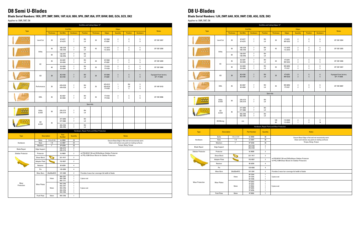#### **D8 Semi U-Blades**

**Blade Serial Numbers: 1KH, 2PP, 3MP, 3WH, 1HP, 6LH, 9BH, 9PH, 2NP, 05A, 9TP, BHW, B8S, DZA, DZX, DK2** Applies to: D8R, D8T, D8

| End Bits and Cutting Edges 13"            |                      |                                 |                                                     |                                                                              |                 |                                                                                                        |                                 |                                                                                                    |                      |                           |                                      |  |  |
|-------------------------------------------|----------------------|---------------------------------|-----------------------------------------------------|------------------------------------------------------------------------------|-----------------|--------------------------------------------------------------------------------------------------------|---------------------------------|----------------------------------------------------------------------------------------------------|----------------------|---------------------------|--------------------------------------|--|--|
|                                           |                      |                                 |                                                     | <b>End Bits</b>                                                              |                 |                                                                                                        |                                 | <b>Edges</b>                                                                                       |                      |                           |                                      |  |  |
| <b>Type</b>                               |                      | <b>Thickness</b>                | <b>End Bits</b>                                     | <b>Hardware</b>                                                              | <b>Position</b> | <b>Thickness</b>                                                                                       | <b>Edges</b>                    | <b>Quantity</b>                                                                                    | <b>Position</b>      | <b>Hardware</b>           | <b>Notes</b>                         |  |  |
| <b>DOM: NO</b><br>0.0.0.0                 | Level Cut            | 28                              | 6Y-4277<br>6Y-4278                                  | $\overline{7}$<br>$\overline{7}$                                             | RH<br>LH        | 28                                                                                                     | 6Y-5540<br>4T-6381              | $\overline{2}$<br>$\mathbf{1}$                                                                     | E<br>С               | 5<br>9                    | GP: 507-2837                         |  |  |
| 0.0.0<br>0.0.0.0                          | Utility              | 50                              | 100-3139<br>100-3140                                | $\overline{7}$<br>$\overline{7}$                                             | RH<br>LH        | 45                                                                                                     | 112-2471<br>112-2472            | $\overline{2}$<br>$\mathbf{1}$                                                                     | E<br>С               | $5\phantom{.0}$<br>9      | GP: 507-2838                         |  |  |
|                                           |                      | 60                              | 136-8757<br>136-8756                                | $\overline{7}$<br>$\overline{7}$                                             | RH<br>LH        |                                                                                                        |                                 |                                                                                                    |                      |                           |                                      |  |  |
| $\qquad \qquad \bullet \quad \bullet$<br> | HC                   | 35                              | 3G-8291<br>3G-8292                                  | $\overline{1}$<br>$\overline{7}$                                             | RH<br>LH        | 28                                                                                                     | 6Y-5540<br>4T-6381              | $\boldsymbol{2}$<br>$\mathbf{1}$                                                                   | E<br>C               | 5<br>9                    | GP: 507-2839                         |  |  |
|                                           |                      | 40                              | 3G-8283<br>3G-8284                                  | $\overline{7}$<br>$\overline{7}$                                             | RH<br>LH        | 35                                                                                                     | 7T-9125<br>7T-9126              | $\boldsymbol{2}$<br>$\mathbf{1}$                                                                   | E<br>С               | 5<br>9                    | GP: 507-2840                         |  |  |
| n a mir                                   | GD                   | $30\,$                          | 8E-4193<br>8E-4194                                  | $\overline{7}$<br>$\overline{7}$                                             | <b>RH</b><br>LH | E<br>6Y-5540<br>$\overline{2}$<br>5<br>28<br>C<br>4T-6381<br>9<br>$\mathbf{1}$                         |                                 |                                                                                                    |                      |                           | Equipped from factory<br>GP: 7T-5558 |  |  |
| $O_0 O_1 O_2$<br>0000                     | Performance          | 35                              | 479-8129<br>479-8130                                | $\overline{7}$<br>$\overline{7}$                                             | RH<br>LH        | 35                                                                                                     | 479-8131<br>479-8132<br>7T-9126 | $\mathbf{1}$<br>$\mathbf{1}$<br>$\mathbf{1}$                                                       | RH<br>LH<br>С        | 5<br>$5\phantom{.0}$<br>9 | GP: 497-8143                         |  |  |
| $^{\circ}$<br>nnn i                       | EWL                  | 35                              | 8E-4537<br>8E-4538                                  | $\overline{7}$<br>$\overline{7}$                                             | RH<br>LH        | 35                                                                                                     | 7T-9125<br>7T-9126              | $\overline{2}$<br>$\mathbf{1}$                                                                     | Ε<br>C               | 5<br>9                    | GP: 9W-9096                          |  |  |
|                                           |                      |                                 |                                                     |                                                                              | Specialty       |                                                                                                        |                                 |                                                                                                    |                      |                           |                                      |  |  |
|                                           | Utility<br>A.R.M     | $50\,$                          | 379-3173<br>379-3174                                | $\overline{1}$<br>$\overline{7}$                                             | RH<br>LH        |                                                                                                        |                                 |                                                                                                    |                      |                           |                                      |  |  |
|                                           | GD                   | 35                              | 377-5059<br>377-5060                                | $\overline{7}$<br>$\overline{7}$                                             | RH<br>LH        |                                                                                                        |                                 |                                                                                                    |                      |                           |                                      |  |  |
|                                           | A.R.M                |                                 | 455-3704<br>455-3705                                | $\overline{7}$<br>$\overline{7}$                                             | RH<br>LH        |                                                                                                        |                                 |                                                                                                    |                      |                           |                                      |  |  |
|                                           |                      |                                 |                                                     |                                                                              |                 | Hardware, Repair Parts and Wear Protection                                                             |                                 |                                                                                                    |                      |                           |                                      |  |  |
| <b>Type</b>                               | <b>Description</b>   |                                 | Part<br><b>Number</b>                               | <b>Quantity</b>                                                              |                 |                                                                                                        |                                 |                                                                                                    | <b>Notes</b>         |                           |                                      |  |  |
| Hardware                                  | <b>Bolts</b><br>Nuts | $1 - 8 \times 3 - 1/4$<br>$1-8$ | 4J-9058<br>2J-3507                                  | 33<br>33                                                                     |                 |                                                                                                        |                                 | Ensure Base Edge is flat and not excessively worn<br>Clean and remove any paint on mating surfaces |                      |                           |                                      |  |  |
|                                           | Washers              | 1"                              | 5P-8250                                             | 33                                                                           |                 |                                                                                                        |                                 |                                                                                                    | Torque, Bang, Torque |                           |                                      |  |  |
| <b>Blade Repair</b>                       | <b>Edge Support</b>  |                                 | 239-4172<br>239-4176                                | $\overline{2}$<br>$\mathbf{1}$                                               |                 |                                                                                                        |                                 |                                                                                                    |                      |                           |                                      |  |  |
| Sidebar Protector                         | Protector            |                                 | 9J-9600                                             | $\overline{2}$                                                               |                 | ref PELM1017 D8 and D9 Bulldozer Sidebar Protector<br>ref PELJ1389 Shear Blocks for Sidebar Protectors |                                 |                                                                                                    |                      |                           |                                      |  |  |
|                                           | Shear Block          |                                 | 331-7417                                            | $\mathbf{2}$                                                                 |                 |                                                                                                        |                                 |                                                                                                    |                      |                           |                                      |  |  |
|                                           | <b>Adapter Plate</b> |                                 | 152-0027                                            | $\mathbf{2}$                                                                 |                 |                                                                                                        |                                 |                                                                                                    |                      |                           |                                      |  |  |
|                                           | Retainer             |                                 | 8E-6359                                             | $\overline{4}$                                                               |                 |                                                                                                        |                                 |                                                                                                    |                      |                           |                                      |  |  |
|                                           | Pin                  |                                 | 135-9350                                            | $\overline{4}$                                                               |                 |                                                                                                        |                                 |                                                                                                    |                      |                           |                                      |  |  |
|                                           | <b>Wear Bars</b>     | 25x203x4572                     | 107-3389                                            | $\mathbf{2}$                                                                 |                 | Provides 2 wear bar coverage full width of blade                                                       |                                 |                                                                                                    |                      |                           |                                      |  |  |
|                                           |                      | 14mm                            | 9W-2757<br>9W-2760<br>9W-1771                       | $\mathbf{1}$<br>$\mathbf{1}$<br>$\mathbf{1}$                                 | 3 piece set     |                                                                                                        |                                 |                                                                                                    |                      |                           |                                      |  |  |
| Wear<br>Protection                        | <b>Wear Plates</b>   | 16mm                            | 9W-2756<br>9W-2757<br>9W-2758<br>9W-2759<br>9W-2760 | $\mathbf{1}$<br>$\mathbf{1}$<br>$\mathbf{1}$<br>$\mathbf{1}$<br>$\mathbf{1}$ | 5 piece set     |                                                                                                        |                                 |                                                                                                    |                      |                           |                                      |  |  |
|                                           | Push Plate           | 16mm                            | 9W-2756                                             | $\mathbf{1}$                                                                 |                 |                                                                                                        |                                 |                                                                                                    |                      |                           |                                      |  |  |

#### **D8 U-Blades**

**Blade Serial Numbers: 1JH, 2WP, 6AH, 9CH, 9WP, CXB, A5G, DZB, DK3** Applies to: D8R, D8T, D8

|                                           |            |                      |                        |                      |                    |                                                     |                                                                              | End Bits and Cutting Edges 13"             |                                                                                                        |                                    |                      |                                                   |                                      |
|-------------------------------------------|------------|----------------------|------------------------|----------------------|--------------------|-----------------------------------------------------|------------------------------------------------------------------------------|--------------------------------------------|--------------------------------------------------------------------------------------------------------|------------------------------------|----------------------|---------------------------------------------------|--------------------------------------|
|                                           |            |                      |                        |                      | <b>End Bits</b>    |                                                     |                                                                              |                                            |                                                                                                        | <b>Edges</b>                       |                      |                                                   |                                      |
| Type                                      |            |                      | <b>Thickness</b>       | <b>End Bits</b>      |                    | Hardware                                            | <b>Position</b>                                                              | <b>Thickness</b>                           | <b>Edges</b>                                                                                           | <b>Quantity</b>                    | <b>Position</b>      | <b>Hardware</b>                                   | <b>Notes</b>                         |
| 0.000<br>0.0.0.0                          |            | Level Cut            | 28                     | 6Y-4277<br>6Y-4278   |                    | 7<br>$\overline{7}$                                 | RH<br>LH                                                                     | 28                                         | 4T-6378<br>9W-5232                                                                                     | $\overline{2}$<br>$\overline{2}$   | Ε<br>C               | 6<br>5                                            | GP: 507-2924                         |
| 0.0.0<br>0.0.0.0                          |            | Utility              | $50\,$                 | 100-3139<br>100-3140 |                    | $\overline{7}$<br>$\overline{7}$                    | RH<br>LH                                                                     | 45                                         | 112-2475<br>112-2473                                                                                   | $\overline{2}$<br>$\boldsymbol{2}$ | Е<br>С               | 6<br>5                                            | GP: 507-2925                         |
|                                           |            |                      | 60                     | 136-8757<br>136-8756 |                    | $\overline{7}$<br>$\overline{7}$                    | RH<br>LH                                                                     |                                            |                                                                                                        |                                    |                      |                                                   |                                      |
| $\qquad \qquad \bullet \quad \bullet$<br> |            | HC                   | 35                     | 3G-8291<br>3G-8292   |                    | $\overline{7}$<br>$\overline{1}$                    | RH<br>LH                                                                     | 28                                         | 4T-6378<br>9W-5232                                                                                     | $\sqrt{2}$<br>$\overline{2}$       | Е<br>С               | 6<br>5                                            | GP: 507-2926                         |
|                                           |            |                      | $40\,$                 | 3G-8283<br>3G-8284   |                    | $\overline{7}$<br>$\overline{7}$                    | RH<br>LH                                                                     | 35                                         | 9W-6092<br>7T-9127                                                                                     | $\boldsymbol{2}$<br>$\overline{2}$ | E<br>С               | 6<br>5                                            | GP: 507-2927                         |
| <b>R.O. N. T</b>                          | GD         |                      | 30                     |                      | 8E-4193<br>8E-4194 | $\overline{1}$<br>$\overline{7}$                    | <b>RH</b><br>LH                                                              | 28                                         | 4T-6378<br>9W-5232                                                                                     | $\overline{2}$<br>$\overline{2}$   | Ε<br>C               | $\boldsymbol{6}$<br>$5\phantom{.0}$               | Equipped from factory<br>GP: 7T-5559 |
| 000                                       | EWL        |                      | 35                     | 8E-4537<br>8E-4538   |                    | 7<br>$\overline{7}$                                 | RH<br>LH                                                                     | 35                                         | 9W-6092<br>7T-9127                                                                                     | $\overline{2}$<br>$\overline{2}$   | Ε<br>C               | 6<br>5                                            | GP: 9W-9097                          |
|                                           |            |                      |                        |                      |                    |                                                     | Specialty                                                                    |                                            |                                                                                                        |                                    |                      |                                                   |                                      |
|                                           |            | Utility<br>A.R.M     | $50\,$                 | 379-3173<br>379-3174 |                    | $\overline{7}$<br>$\overline{7}$                    | RH<br>LH                                                                     |                                            |                                                                                                        |                                    |                      |                                                   |                                      |
|                                           |            | GD                   | 35                     | 377-5059<br>377-5060 |                    | $\boldsymbol{7}$<br>$\overline{7}$                  | RH<br>LH                                                                     |                                            |                                                                                                        |                                    |                      |                                                   |                                      |
|                                           |            | A.R.M                |                        | 455-3704<br>455-3705 |                    | $\overline{1}$<br>$\overline{7}$                    | RH<br>LH                                                                     |                                            |                                                                                                        |                                    |                      |                                                   |                                      |
|                                           |            | <b>HD Mining</b>     |                        | n/a                  |                    |                                                     |                                                                              | 120<br>60                                  | 113-0343<br>113-0323                                                                                   | $\boldsymbol{2}$<br>$\mathbf{1}$   | Ε<br>С               | $\boldsymbol{9}$<br>14                            |                                      |
|                                           |            |                      |                        |                      |                    |                                                     |                                                                              | Hardware, Repair Parts and Wear Protection |                                                                                                        |                                    |                      |                                                   |                                      |
| <b>Type</b>                               |            |                      | <b>Description</b>     |                      |                    | <b>Part Number</b>                                  | <b>Quantity</b>                                                              |                                            |                                                                                                        |                                    | <b>Notes</b>         |                                                   |                                      |
|                                           |            | <b>Bolts</b>         | $1 - 8 \times 3 - 1/4$ |                      |                    | 4J-9058                                             | $36\,$                                                                       |                                            |                                                                                                        |                                    |                      | Ensure Base Edge is flat and not excessively worn |                                      |
| Hardware                                  |            | Nuts<br>Washers      | $1 - 8$<br>1''         |                      |                    | 2J-3507<br>5P-8250                                  | 36<br>36                                                                     |                                            |                                                                                                        |                                    | Torque, Bang, Torque | Clean and remove any paint on mating surfaces     |                                      |
| <b>Blade Repair</b>                       |            | <b>Edge Support</b>  |                        |                      |                    | 255-8188<br>255-8189                                | $\sqrt{2}$<br>$\mathbf{1}$                                                   |                                            |                                                                                                        |                                    |                      |                                                   |                                      |
| Sidebar Protector                         |            | Protector            |                        |                      |                    | 9J-9600                                             | $\boldsymbol{2}$                                                             |                                            |                                                                                                        |                                    |                      |                                                   |                                      |
|                                           |            | Shear Block          |                        |                      |                    | 331-7417                                            | $\overline{2}$                                                               |                                            |                                                                                                        |                                    |                      |                                                   |                                      |
|                                           |            | <b>Adapter Plate</b> |                        |                      |                    | 152-0027                                            | $\sqrt{2}$                                                                   |                                            | ref PELM1017 D8 and D9 Bulldozer Sidebar Protector<br>ref PELJ1389 Shear Blocks for Sidebar Protectors |                                    |                      |                                                   |                                      |
|                                           |            | Retainer             |                        |                      |                    | 8E-6359                                             | 4                                                                            |                                            |                                                                                                        |                                    |                      |                                                   |                                      |
|                                           |            | Pin                  |                        |                      |                    | 135-9350                                            | 4                                                                            |                                            |                                                                                                        |                                    |                      |                                                   |                                      |
|                                           |            | <b>Wear Bars</b>     | 25x203x4572            |                      |                    | 107-3391                                            | $\boldsymbol{2}$                                                             |                                            | Provides 2 wear bar coverage full width of blade                                                       |                                    |                      |                                                   |                                      |
|                                           |            |                      | 14mm                   |                      |                    | 6Y-7244<br>6Y-7245<br>6Y-7246                       | $\mathbf{1}$<br>$\mathbf{1}$<br>$\mathbf{1}$                                 | 3 piece set                                |                                                                                                        |                                    |                      |                                                   |                                      |
| <b>Wear Protection</b>                    |            | <b>Wear Plates</b>   | 16mm                   |                      |                    | 9T-0253<br>9T-0254<br>4T-9592<br>9T-0255<br>9T-0256 | $\mathbf{1}$<br>$\mathbf{1}$<br>$\mathbf{1}$<br>$\mathbf{1}$<br>$\mathbf{1}$ | 5 piece set                                |                                                                                                        |                                    |                      |                                                   |                                      |
|                                           | Push Plate |                      | 16mm                   |                      |                    | 4T-9592                                             | $\mathbf{1}$                                                                 |                                            |                                                                                                        |                                    |                      |                                                   |                                      |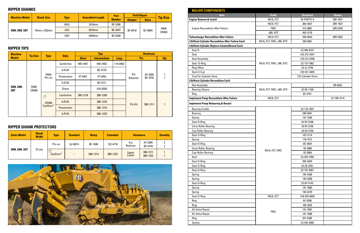| <b>Machine Model</b> | <b>Shank Size</b> |             | <b>Assembled Length</b> | Part          | <b>Field Repair</b> | <b>Tip Size</b> |               |  |
|----------------------|-------------------|-------------|-------------------------|---------------|---------------------|-----------------|---------------|--|
|                      |                   | <b>Type</b> |                         | <b>Number</b> | <b>Adapter</b>      | <b>Nose</b>     |               |  |
|                      | 75mm x 332mm      | (MS)        | 1610mm                  | 8E-5346       |                     |                 |               |  |
| <b>D8N, D8R, D8T</b> |                   | (SS)        | 2010mm                  | 8E-5347       | 8E-8418             | 9U-9694         | R450<br>CR450 |  |
|                      |                   | (DR)        | 2459mm                  | 8E-5340       |                     |                 |               |  |

| <b>Machine</b>          | <b>Tip Size</b> | <b>Type</b>    | <b>Style</b>                        |              | <b>Tips</b>         |             | <b>Hardware</b> |                    |            |  |
|-------------------------|-----------------|----------------|-------------------------------------|--------------|---------------------|-------------|-----------------|--------------------|------------|--|
| <b>Model</b>            |                 |                |                                     | <b>Short</b> | <b>Intermediate</b> | <b>Long</b> | Pin             |                    | <b>Qty</b> |  |
|                         |                 |                | Centerline                          | 9W-2451      | 9W-2452             | 114-0453    |                 |                    |            |  |
|                         |                 |                | A.R.M.                              |              | 8E-5770             |             |                 |                    |            |  |
|                         |                 | R450<br>Pin-on | Penetration                         | 4T-5451      | 4T-5452             |             | Pin<br>Retainer | 6Y-3394<br>8E-4743 |            |  |
|                         | R450<br>CR450   |                | A.R.M.                              |              | 8E-5771             |             |                 |                    |            |  |
| <b>D8N, D8R,</b><br>D8T |                 |                | Sharp                               |              | 416-0250            |             |                 |                    |            |  |
|                         |                 | $^{\circledR}$ | <b>Centerline</b>                   | 380-1218     | 380-1209            |             |                 |                    |            |  |
|                         |                 | <b>CR450</b>   | A.R.M.                              |              | 380-1225            |             | Pin Kit         | 380-1211           |            |  |
|                         |                 |                | CapSure <sup>™</sup><br>Penetration |              | 380-1216            |             |                 |                    |            |  |
|                         |                 |                | A.R.M.                              |              | 380-1220            |             |                 |                    |            |  |

| <b>Sales Model</b>   | <b>Shank</b><br><b>Width</b> | <b>Type</b>          | <b>Standard</b>          | <b>Sharp</b> | <b>Extended</b> | <b>Hardware</b> |                      | <b>Quantity</b> |
|----------------------|------------------------------|----------------------|--------------------------|--------------|-----------------|-----------------|----------------------|-----------------|
| <b>D8N, D8R, D8T</b> |                              | Pin-on               | 6J-8814                  | 8E-1848      | 132-4716        | Pin<br>Retainer | 6Y-3394<br>8E-4743   |                 |
|                      | 75 mm                        | CapSure <sup>™</sup> | $\overline{\phantom{0}}$ | 380-1214     | 380-1223        | Upper<br>Lower  | 380-1211<br>380-1222 |                 |



#### **RIPPER SHANKS**

#### **RIPPER TIPS**

#### **RIPPER SHANK PROTECTORS**

| <b>MAJOR COMPONENTS</b>                            |                         |                    |                |
|----------------------------------------------------|-------------------------|--------------------|----------------|
| <b>Item</b>                                        | <b>Prefix</b>           | <b>Standard</b>    | <b>Reman</b>   |
| <b>Engine Remove &amp; Install</b>                 | MLN, FCT                | RI-PARTS-4         | 20R-7041       |
|                                                    | MLN, FCT                | 364-4037           | 20R-7937       |
| <b>Engine Recondition After Failure</b>            | <b>FMC</b>              | 415-5867           | 20R-0765       |
|                                                    | J8B, KPZ                | 462-3178           |                |
| <b>Turbocharger Recondition After Failure</b>      | MLN, FCT                | 450-0542           | 20R-9352       |
| Lift/Hoist Cylinder Recondition After Failure Each | MLN, FCT, FMC, J8B, KPZ | 250-5861           |                |
| Lift/Hoist Cylinder Replace Gasket/Reseal Each     |                         |                    |                |
| Seal A                                             |                         | $(2)$ 495-8197     |                |
| Seal                                               |                         | (10) 312-4247      |                |
| <b>Seal Assembly</b>                               |                         | $(10)$ 312-4248    |                |
| Seal - 0-Ring                                      | MLN, FCT, FMC, J8B, KPZ | $(2)$ 175-7902     |                |
| Ring-Wear                                          |                         | $(2)$ 4J-3745      |                |
| Seal-U-Cup                                         |                         | $(10)$ 421-4025    |                |
| <b>Cost For Cylinder Hone</b>                      |                         | (12) Cylinder Hone |                |
| <b>Lift/Hoist Cylinder Recondition Each</b>        |                         |                    |                |
| <b>Rod Assembly</b>                                |                         |                    | 0R-8922        |
| <b>Bearing-Sleeve</b>                              | MLN, FCT, FMC, J8B, KPZ | $(2)$ 6E-1108      |                |
| Ring                                               |                         | 8C-9161            |                |
| <b>Implement Pump Reconditoin After Failure</b>    | MLN, FCT                |                    | $(2) 10R-4714$ |
| <b>Implement Pump Rebearing &amp; Reseal</b>       |                         |                    |                |
|                                                    |                         |                    |                |
| <b>Bearing-Cradle</b>                              |                         | $(2)$ 176-7507     |                |
| <b>Bearing</b>                                     |                         | 290-0461           |                |
| Spring                                             |                         | 191-7594           |                |
| Seal-O-Ring                                        |                         | $(4) 5P-9186$      |                |
| <b>Cone-Roller Bearing</b>                         |                         | $(3) 6Y-2736$      |                |
| <b>Cup-Roller Bearing</b>                          |                         | $(3) 6Y-2736$      |                |
| Seal-O-Ring                                        |                         | 107-3114           |                |
| Spring                                             |                         | 176-7512           |                |
| Seal-O-Ring                                        |                         | 3D-2824            |                |
| <b>Cone-Roller Bearing</b>                         | MLN, FCT, FMC           | 1B-3908            |                |
| <b>Cup-Roller Bearing</b>                          |                         | 1B-3909            |                |
| Seal                                               |                         | $(2)$ 203-1095     |                |
| Seal-O-Ring                                        |                         | 204-3334           |                |
| Seal-O-Ring                                        |                         | $(2)$ 3E-6761      |                |
| Seal-O-Ring                                        |                         | $(2)$ 187-8567     |                |
| Spring                                             |                         | 194-3288           |                |
| Spring                                             |                         | 194-3289           |                |
| Seal-O-Ring                                        |                         | $(2)$ 6V-5142      |                |
| Spring                                             |                         | 191-7605           |                |
| Spring                                             |                         | 194-3279           |                |
| Seal-O-Ring                                        | MLN, FCT                | $(10)$ 033-6039    |                |
| Ring                                               |                         | 6V-5200            |                |
| Ring                                               |                         | 195-3325           |                |
| Kit-Valve Repair                                   | <b>FMC</b>              | 191-7607           |                |
| Kit-Valve Repair                                   |                         | 191-7608           |                |
| Ring                                               |                         | 257-4385           |                |
| Gasket                                             |                         | $(2)$ 445-2060     |                |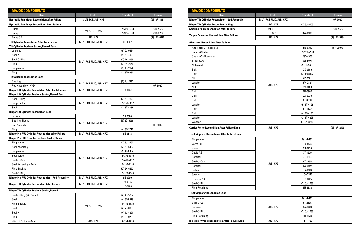| <b>MAJOR COMPONENTS</b>                                                       |                         |                               |              |
|-------------------------------------------------------------------------------|-------------------------|-------------------------------|--------------|
| <b>Item</b>                                                                   | <b>Prefix</b>           | <b>Standard</b>               | <b>Reman</b> |
| <b>Hydraulic Fan Motor Recondition After Failure</b>                          | MLN, FCT, J8B, KPZ      |                               | (2) 10R-4581 |
| <b>Hydraulic Fan Pump Recondition After Failure</b>                           |                         |                               |              |
| Pump GP                                                                       |                         | $(2)$ 325-9788                | 20R-7025     |
| Pump GP                                                                       | MLN, FCT, FMC           | $(2)$ 325-9788                | 20R-7026     |
| Pump GP                                                                       | J8B, KPZ                |                               | (2) 10R-6126 |
| <b>Tilt Cylinder Recondition After Failure Each</b>                           | MLN, FCT, FMC, J8B, KPZ | 6E-0397                       |              |
| Tilt Cylinder Replace Gasket/Reseal Each                                      |                         |                               |              |
| Locknut                                                                       |                         | (6) 2J-0564                   |              |
| Seal A                                                                        |                         | $(4)$ 5J-4993                 |              |
| Seal-O-Ring                                                                   |                         | (2) 2K-2939                   |              |
| Ring                                                                          | MLN, FCT, FMC, J8B, KPZ | (2) 2K-2940                   |              |
| Ring-Wear                                                                     |                         | $(3)$ 1J-2674                 |              |
| Ring                                                                          |                         | $(2) 9T-0094$                 |              |
| <b>Tilt Cylinder Recondition Each</b>                                         |                         |                               |              |
| <b>Bearing</b>                                                                | MLN, FCT, FMC, J8B, KPZ | $(2)$ 1U-2182                 |              |
| Rod Assembly - HYD                                                            |                         |                               | 0R-8920      |
| <b>Ripper Lift Cylinder Recondition After Each Failure</b>                    | MLN, FCT, FMC, J8B, KPZ | 155-3653                      |              |
| Ripper Lift Cylinder Replace Gasket/Reseal Each                               |                         |                               |              |
| Seal-O-Ring                                                                   |                         | $(2) 5P-7593$                 |              |
| Ring-Backup                                                                   | MLN, FCT, FMC, J8B, KPZ | $(2)$ 158-3027                |              |
| Seal                                                                          |                         | $(2)$ 8T-8381                 |              |
| <b>Ripper Lift Cylinder Recondition Each</b>                                  |                         |                               |              |
| Locknut                                                                       |                         | 2J-7686                       |              |
| <b>Bearing-Sleeve</b>                                                         | MLN, FCT, FMC, J8B, KPZ | $(3)$ 3G-5999                 |              |
| <b>Rod Assembly</b>                                                           |                         |                               | 0R-3082      |
| Ring                                                                          |                         | $(4)$ 8T-1714                 |              |
| <b>Ripper Pin PUL Cylinder Recondition After Failure</b>                      | MLN, FCT, FMC, J8B, KPZ | 6E-3113                       |              |
| Ripper Pin PUL Cylinder Replace Gasket/Reseal                                 |                         |                               |              |
| Ring-Wear                                                                     |                         | $(2)$ 6J-2797                 |              |
| Seal Assembly                                                                 |                         | $(2)$ 5J-5402                 |              |
| Ring-Wear                                                                     |                         | $(2)$ 4T-6907                 |              |
| Seal-Wiper                                                                    | MLN, FCT, FMC, J8B, KPZ | $(2)$ 308-1880                |              |
| Seal-U-Cup                                                                    |                         | $(2)$ 439-2697                |              |
| Seal Assembly - Buffer                                                        |                         | $(2)$ 167-2190                |              |
| Rink-Backup                                                                   |                         | $(2)$ 2K-6830                 |              |
| Seal-O-Ring                                                                   |                         | $(2)$ 175-7900                |              |
| Ripper Pin PUL Cylinder Recondition - Rod Assembly                            | MLN, FCT, FMC, J8B, KPZ | 6E-3980                       |              |
| <b>Ripper Tilt Cylinder Recondition After Failure</b>                         | MLN, FCT, FMC, J8B, KPZ | 165-0102                      |              |
|                                                                               |                         | 155-3652                      |              |
| <b>Ripper Tilt Cylinder Replace Gasket/Reseal</b><br>Seal-O-Ring (24.99mm ID) |                         |                               |              |
| Seal                                                                          |                         | $(4)$ 4J-5267                 |              |
|                                                                               |                         | (4) 8T-8379                   |              |
| Ring-Backup<br>Seal                                                           | MLN, FCT, FMC           | $(4)$ 158-3026<br>(4) 7J-8956 |              |
| Seal A                                                                        |                         | $(4)$ 5J-4991                 |              |
| Ring                                                                          |                         | (4) 3J-9703                   |              |
| Kit-Hyd Cylinder Seal                                                         | J8B, KPZ                | (4) 244-2050                  |              |
|                                                                               |                         |                               |              |

| <b>MAJOR COMPONENTS</b>                                 |                         |                 |              |
|---------------------------------------------------------|-------------------------|-----------------|--------------|
| <b>Item</b>                                             | <b>Prefix</b>           | <b>Standard</b> | <b>Reman</b> |
| <b>Ripper Tilt Cylinder Recondition - Rod Assembly</b>  | MLN, FCT, FMC, J8B, KPZ |                 | 0R-3080      |
| <b>Ripper Tilt Cylinder Recondition - Ring</b>          | J8B, KPZ                | $(2)$ 3J-9703   |              |
| <b>Steering Pump Recondition After Failure</b>          | MLN, FCT                |                 | 20R-7025     |
|                                                         | <b>FMC</b>              | 374-8376        |              |
| <b>Torque Converter Recondition After Failure</b>       | J8B, KPZ                |                 | (2) 10R-5294 |
| <b>Alternator Recondition After Failure</b>             |                         |                 |              |
| <b>Alternator GP-Charging</b>                           |                         | 249-0313        | 10R-9097ß    |
| Pulley AS-Idler                                         |                         | $(2)$ 279-2589  |              |
| <b>Guard AS-Alternator</b>                              |                         | 292-4906        |              |
| <b>Bracket AS</b>                                       |                         | 329-5071        |              |
| Nut-Weld                                                |                         | $(2)$ 8T-3490   |              |
| Bolt                                                    |                         | 0S-0509         |              |
| <b>Bolt</b>                                             |                         | $(2)$ 1608497   |              |
| Clip                                                    |                         | 4P-7581         |              |
| Washer                                                  |                         | 5M-2894         |              |
| Nut                                                     | J8B, KPZ                | 6V-8188         |              |
| <b>Bolt</b>                                             |                         | 7D-5962         |              |
| <b>Bolt</b>                                             |                         | 7X-0339         |              |
| Bolt                                                    |                         | 8T-0638         |              |
| Washer                                                  |                         | $(5)$ 8T-4121   |              |
| <b>Bolt</b>                                             |                         | 8T-4172         |              |
| <b>Bolt</b>                                             |                         | $(4)$ 8T-4186   |              |
| Washer                                                  |                         | $(3)$ 8T-4223   |              |
| Washer                                                  |                         | $(3)$ 9X-8256   |              |
|                                                         |                         |                 |              |
| <b>Carrier Roller Recondition After Failure Each</b>    | J8B, KPZ                |                 | (2) 10R-2499 |
| <b>Track Adjuster Recondition After Failure Each</b>    |                         |                 |              |
| Ring-Wear                                               |                         | $(2) 1M-1571$   |              |
| Valve-Fill                                              |                         | 190-8609        |              |
| Valve                                                   |                         | 2S-5926         |              |
| Cable AS                                                |                         | 7T-4209         |              |
| Retainer                                                |                         | 7T-4214         |              |
| Seal-U-Cup                                              | J8B, KPZ                | 8T-2185         |              |
| Retainer                                                |                         | 9W-6074         |              |
| Piston                                                  |                         | 104-6374        |              |
| Spacer                                                  |                         | 154-3326        |              |
| Cylinder AS                                             |                         | 154-3327        |              |
| Seal-O-Ring                                             |                         | $(2)$ 6J-1038   |              |
| Ring-Retaining                                          |                         | 8H-8830         |              |
| <b>Track Adjuster Recondition Each</b>                  |                         |                 |              |
| Ring-Wear                                               |                         | $(2) 1M-1571$   |              |
| Seal-U-Cup                                              |                         | 8T-2185         |              |
| Retainer                                                | J8B, KPZ                | 9W-6074         |              |
| Seal-O-Ring                                             |                         | $(2)$ 6J-1038   |              |
| Ring-Retaining                                          |                         | 8H-8830         |              |
| <b>Idler/Idler Wheel Recondition After Failure Each</b> | J8B, KPZ                | 111-1730        |              |
|                                                         |                         |                 |              |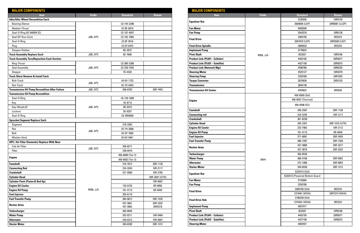| <b>MAJOR COMPONENTS</b>                                |               |                      |                     |  |  |  |
|--------------------------------------------------------|---------------|----------------------|---------------------|--|--|--|
| <b>Item</b>                                            | <b>Prefix</b> | <b>Standard</b>      | <b>Reman</b>        |  |  |  |
| <b>Idler/Idler Wheel Recondition Each</b>              |               |                      |                     |  |  |  |
| <b>Bearing-Sleeve</b>                                  |               | $(2)$ 154-3298       |                     |  |  |  |
| Washer-Thrust                                          |               | $(2)$ 8E-6619        |                     |  |  |  |
| Seal-O-Ring (67.94MM ID)                               |               | $(2)$ 107-4057       |                     |  |  |  |
| Seal GP-Duo-Cone                                       | J8B, KPZ      | (2) 162-7863         |                     |  |  |  |
| Seal-O-Ring                                            |               | $(2)$ 8F-9516        |                     |  |  |  |
| Plug                                                   |               | $(2) 6Y-0473$        |                     |  |  |  |
| Stopper-Rubber                                         |               | 9G-4872              |                     |  |  |  |
| <b>Track Assembly Replace Each</b>                     | J8B, KPZ      | 8E-7696              |                     |  |  |  |
| <b>Track Assembly Turn/Reposition Each Section</b>     |               |                      |                     |  |  |  |
| Ring-Thrust                                            |               | $(2)$ 360-2308       |                     |  |  |  |
| <b>Seal Assembly</b>                                   | J8B, KPZ      | (2) 239-7943         |                     |  |  |  |
| Stopper                                                |               | 7G-4332              |                     |  |  |  |
| <b>Track Show Remove &amp; Install Each</b>            |               |                      |                     |  |  |  |
| <b>Bolt-Track</b>                                      |               | $(4) 6V-1723$        |                     |  |  |  |
| Nut-Track                                              | J8B, KPZ      | $(4)$ 7G-6442        |                     |  |  |  |
| <b>Transmission Oil Pump Recondition After Failure</b> | J8B, KPZ      | 206-8703             | 20R-7455            |  |  |  |
| <b>Transmission Oil Pump Recondition</b>               |               |                      |                     |  |  |  |
| Seal-O-Ring                                            |               | $(4)$ 129-1609       |                     |  |  |  |
| Key                                                    |               | 1B-8714              |                     |  |  |  |
| Key-Woodruff                                           | J8B, KPZ      | 2B-9373              |                     |  |  |  |
| Locknut                                                |               | 2K-0337              |                     |  |  |  |
| Seal-O-Ring                                            |               | $(3)$ 2955609        |                     |  |  |  |
| <b>Sprocket Segment Replace Each</b>                   |               |                      |                     |  |  |  |
| Segment                                                |               | 278-2363             |                     |  |  |  |
| Nut                                                    | J8B, KPZ      | $(5)$ 7H-3608        |                     |  |  |  |
| Bolt                                                   |               | $(5) 5P-7665$        |                     |  |  |  |
| Washer-Hard                                            |               | $(5)$ 6V-5841        |                     |  |  |  |
| <b>UPE / Air Filter Element(s) Replace With New</b>    |               |                      |                     |  |  |  |
| <b>Cab Air Filter</b>                                  | J8B, KPZ      | 209-8217             |                     |  |  |  |
| Filter                                                 |               | 238-0479             |                     |  |  |  |
| <b>Engine</b>                                          |               | 456-6600 (Tier 2)    |                     |  |  |  |
|                                                        |               | 456-6602 (Tier 3)    |                     |  |  |  |
| <b>Camshaft</b>                                        |               | 310-7612             | 20R-1135            |  |  |  |
| <b>Connecting Rod</b>                                  |               | 224-3245             | 10R-2117            |  |  |  |
| <b>Crankshaft</b>                                      |               | 221-9360             | 10R-2765            |  |  |  |
| <b>Cylinder Head</b>                                   |               |                      | 20R-2647 (UTN)      |  |  |  |
| <b>Cylinder Pack (Piston &amp; Rod Gp)</b>             |               |                      | 10R-6007            |  |  |  |
| <b>Engine Oil Cooler</b>                               |               | 133-0125             | 0R-9056             |  |  |  |
| <b>Engine Oil Pump</b>                                 | MB8, JJ5      | 161-4113             | 0R-9449             |  |  |  |
| <b>Fuel Injector</b>                                   |               | 355-6110             |                     |  |  |  |
| <b>Fuel Transfer Pump</b>                              |               | 384-8612             | 20R-1525            |  |  |  |
| <b>Rocker Arms</b>                                     |               | 437-3861<br>437-3863 | 20R-3322<br>20R3318 |  |  |  |
| <b>Turbocharger</b>                                    |               | 483-0845             |                     |  |  |  |
| <b>Water Pump</b>                                      |               | 352-0211             | 10R-0484            |  |  |  |
| <b>Alternator</b>                                      |               | 249-0313             | 10R-9097            |  |  |  |
| <b>Starter Motor</b>                                   |               | 349-6530             | 20R-1312            |  |  |  |

| <b>MAJOR COMPONENTS</b>                 |                 |                                                                           |                |  |  |  |
|-----------------------------------------|-----------------|---------------------------------------------------------------------------|----------------|--|--|--|
| <b>Item</b>                             | <b>Prefix</b>   | <b>Standard</b>                                                           | <b>Reman</b>   |  |  |  |
| <b>Equalizer Bar</b>                    |                 | 2226926                                                                   | 10R9155        |  |  |  |
|                                         |                 | 2604695 (LGP)                                                             | 20R0081 (LLGP) |  |  |  |
| <b>Fan Motor</b>                        |                 | 5093040                                                                   |                |  |  |  |
| <b>Fan Pump</b>                         |                 | 2042578                                                                   | 10R6126        |  |  |  |
| <b>Final Drive</b>                      |                 | 3365750                                                                   | 0R2310         |  |  |  |
|                                         |                 | 3367870 (LGP)                                                             | 20R5590 (LGP)  |  |  |  |
| <b>Final Drive Spindle</b>              |                 | 3909923                                                                   | 0R2224         |  |  |  |
| <b>Implement Pump</b>                   |                 | 4779824                                                                   |                |  |  |  |
| <b>Pivot Shaft</b>                      | <b>MB8, JJ5</b> | 8E2837                                                                    | 10R9166        |  |  |  |
| <b>Product Link (PL641 - Cellular)</b>  |                 | 4402105                                                                   | 20R5677        |  |  |  |
| <b>Product Link (PL631 - Satellite)</b> |                 | 4427199                                                                   | 20R5675        |  |  |  |
| <b>Product Link (Network Mgr)</b>       |                 | 4590786                                                                   | 20R6220        |  |  |  |
| <b>Steering Motor</b>                   |                 | 2525127                                                                   | 10R4579        |  |  |  |
| <b>Steering Pump</b>                    |                 | 3259788                                                                   | 20R7025        |  |  |  |
| <b>Torque Converter</b>                 |                 | 3875630                                                                   | 20E6120        |  |  |  |
| <b>Transmission</b>                     |                 | 3844149                                                                   |                |  |  |  |
| <b>Transmission Oil Cooler</b>          |                 | 4W9822                                                                    | 0R5549         |  |  |  |
|                                         |                 | 456-6589 (Std)                                                            |                |  |  |  |
| <b>Engine</b>                           |                 | 456-6597 (Thermal)                                                        |                |  |  |  |
|                                         |                 | 456-6598 (EU)<br>20R-1138<br>348-2587<br>10R-2117<br>224-3245<br>361-8230 |                |  |  |  |
| <b>Camshaft</b>                         |                 | 345-2207                                                                  |                |  |  |  |
| <b>Connecting rod</b>                   |                 |                                                                           |                |  |  |  |
| <b>Crankshaft</b>                       |                 |                                                                           |                |  |  |  |
| <b>Cylinder Head</b>                    |                 |                                                                           | 20R-1016 (UTN) |  |  |  |
| <b>Engine Oil Cooler</b>                |                 | 223-7962                                                                  | 10R-2112       |  |  |  |
| <b>Engine Oil Pump</b>                  |                 | 161-4113                                                                  | 0R-9449        |  |  |  |
| <b>Fuel Injector</b>                    |                 | 371-8891                                                                  | 20R-3455       |  |  |  |
| <b>Fuel Transfer Pump</b>               |                 | 388-7287                                                                  | 20R-1528       |  |  |  |
| <b>Rocker Arms</b>                      |                 | 437-3868                                                                  | 20R-3317       |  |  |  |
|                                         |                 | 437-3879                                                                  | 20R-3323       |  |  |  |
| <b>Turbocharger</b>                     |                 | 450-0528                                                                  |                |  |  |  |
| <b>Water Pump</b>                       | AW4             | 366-0168                                                                  | 20R-0952       |  |  |  |
| <b>Alternator</b>                       |                 | 272-1889                                                                  | 20R-0053       |  |  |  |
| <b>Starter Motor</b>                    |                 | 349-6530                                                                  | 20R-1312       |  |  |  |
| <b>Equalizer Bar</b>                    |                 | 5233415 (Std)<br>5233413 (Powered Bottom Guard                            |                |  |  |  |
| <b>Fan Motor</b>                        |                 | 5153884                                                                   |                |  |  |  |
| <b>Fan Pump</b>                         |                 | 3259789                                                                   |                |  |  |  |
|                                         |                 | 3365750 (Std)                                                             | 0R2310         |  |  |  |
| <b>Final Drive</b>                      |                 | 1374491 (WHA)                                                             | 20R7374 (WHA)  |  |  |  |
|                                         |                 | 3186248 (Std)                                                             |                |  |  |  |
| <b>Final Drive Hub</b>                  |                 | 1374491 (WHA)                                                             | 0R2224         |  |  |  |
| <b>Implement Pump</b>                   |                 | 4957571                                                                   |                |  |  |  |
| <b>Pivot Shaft</b>                      |                 | 8E2837                                                                    | 10R9166        |  |  |  |
| <b>Product Link (PL641 - Cellular)</b>  |                 | 4402105                                                                   | 20R5677        |  |  |  |
| <b>Product Link (PL631 - Satellite)</b> |                 | 4427199                                                                   | 20R5675        |  |  |  |
| <b>Steering Motor</b>                   |                 | 4892557                                                                   |                |  |  |  |
|                                         |                 |                                                                           |                |  |  |  |

| <b>MAJOR COMPONENTS</b>                 |                 |                                        |
|-----------------------------------------|-----------------|----------------------------------------|
| <b>Item</b>                             | <b>Prefix</b>   | <b>Standard</b>                        |
|                                         |                 | 2226926                                |
| <b>Equalizer Bar</b>                    |                 | 2604695 (LGP)                          |
| <b>Fan Motor</b>                        |                 | 5093040                                |
| <b>Fan Pump</b>                         |                 | 2042578                                |
| <b>Final Drive</b>                      |                 | 3365750                                |
|                                         |                 | 3367870 (LGP)                          |
| <b>Final Drive Spindle</b>              |                 | 3909923                                |
| <b>Implement Pump</b>                   |                 | 4779824                                |
| <b>Pivot Shaft</b>                      | <b>MB8, JJ5</b> | 8E2837                                 |
| <b>Product Link (PL641 - Cellular)</b>  |                 | 4402105                                |
| <b>Product Link (PL631 - Satellite)</b> |                 | 4427199                                |
| <b>Product Link (Network Mgr)</b>       |                 | 4590786                                |
| <b>Steering Motor</b>                   |                 | 2525127                                |
| <b>Steering Pump</b>                    |                 | 3259788                                |
| <b>Torque Converter</b>                 |                 | 3875630                                |
| <b>Transmission</b>                     |                 | 3844149                                |
| <b>Transmission Oil Cooler</b>          |                 | 4W9822                                 |
|                                         |                 | 456-6589 (Std)                         |
| <b>Engine</b>                           |                 | 456-6597 (Therm                        |
|                                         |                 | 456-6598 (EU)                          |
| <b>Camshaft</b>                         |                 | 348-2587                               |
| <b>Connecting rod</b>                   |                 | 224-3245                               |
| <b>Crankshaft</b>                       |                 | 361-8230                               |
| <b>Cylinder Head</b>                    |                 | 345-2207                               |
| <b>Engine Oil Cooler</b>                |                 | 223-7962                               |
| <b>Engine Oil Pump</b>                  |                 | 161-4113                               |
| <b>Fuel Injector</b>                    |                 | 371-8891                               |
| <b>Fuel Transfer Pump</b>               |                 | 388-7287                               |
| <b>Rocker Arms</b>                      |                 | 437-3868                               |
|                                         |                 | 437-3879                               |
| <b>Turbocharger</b>                     |                 | 450-0528                               |
| <b>Water Pump</b>                       | AW4             | 366-0168                               |
| <b>Alternator</b>                       |                 | 272-1889                               |
| <b>Starter Motor</b>                    |                 | 349-6530                               |
| <b>Equalizer Bar</b>                    |                 | 5233415 (Std)<br>5233413 (Powered Bott |
| <b>Fan Motor</b>                        |                 | 5153884                                |
| <b>Fan Pump</b>                         |                 | 3259789                                |
|                                         |                 | 3365750 (Std)                          |
| <b>Final Drive</b>                      |                 | 1374491 (WHA                           |
|                                         |                 | 3186248 (Std)                          |
| <b>Final Drive Hub</b>                  |                 | 1374491 (WHA                           |
| <b>Implement Pump</b>                   |                 | 4957571                                |
| <b>Pivot Shaft</b>                      |                 | 8E2837                                 |
| <b>Product Link (PL641 - Cellular)</b>  |                 | 4402105                                |
| <b>Product Link (PL631 - Satellite)</b> |                 | 4427199                                |
| <b>Steering Motor</b>                   |                 | 4892557                                |
|                                         |                 |                                        |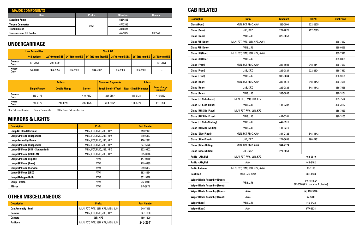| <b>MAJOR COMPONENTS</b>        |               |                 |              |  |  |  |
|--------------------------------|---------------|-----------------|--------------|--|--|--|
| <b>Item</b>                    | <b>Prefix</b> | <b>Standard</b> | <b>Reman</b> |  |  |  |
| <b>Steering Pump</b>           |               | 5264863         |              |  |  |  |
| <b>Torque Comverter</b>        | AW4           | 4743305         |              |  |  |  |
| <b>Transmission</b>            |               | 3858824         |              |  |  |  |
| <b>Transmission Oil Cooler</b> |               | 4W9822          | 0R5549       |  |  |  |

| <b>Description</b>               | <b>Prefix</b>           | <b>Part Number</b> |
|----------------------------------|-------------------------|--------------------|
| <b>Lamp GP Flood (Vertical)</b>  | MLN, FCT, FMC, J8B, KPZ | 153-2073           |
| <b>Lamp GP Flood (Suspended)</b> | MLN, FCT, FMC, J8B, KPZ | 219-6487           |
| <b>Lamp Assembly-Dome</b>        | MLN, FCT, FMC, J8B, KPZ | 226-2811           |
| <b>Lamp GP Flood (Suspended)</b> | MLN, FCT, FMC, J8B, KPZ | 227-5978           |
| Lamp GP Flood (HID - Suspended)  | MLN, FCT, FMC, J8B, KPZ | 332-9402           |
| Lamp GP Flood (2300 LM)          | MLN, FCT, FMC, J8B, KPZ | 505-8916           |
| <b>Lamp GP Flood (Ripper)</b>    | AW4                     | 147-0319           |
| <b>Lamp GP Flood (Rear)</b>      | AW4                     | 219-6485           |
| <b>Lamp GP Flood (Service)</b>   | AW4                     | 219-6487           |
| Lamp GP Flood (LED)              | AW4                     | 383-8634           |
| Lamp (Halogen Bulb)              | AW4                     | 351-9918           |
| Lamp - Dome                      | AW4                     | 7N-9943            |
| <b>Mirror</b>                    | AW4                     | 5P-6874            |

| <b>Description</b>         | <b>Prefix</b>                     | <b>Part Number</b> |
|----------------------------|-----------------------------------|--------------------|
| <b>Cap Assembly - Fuel</b> | MLN, FCT, FMC, J8B, KPZ, MB8, JJ5 | 349-7059           |
| Camera                     | MLN, FCT, FMC, J8B, KPZ           | 347-1668           |
| Camera                     | J8B, KPZ                          | 459-1800           |
| <b>Padlock</b>             | MLN, FCT, FMC, J8B, KPZ, MB8, JJ5 | 246-2641           |

#### **MIRRORS & LIGHTS**

#### **OTHER MISCELLANEOUS**

|                             | <b>Link Assemblies</b> | <b>Track GP</b> |          |                                                                         |          |                    |                 |
|-----------------------------|------------------------|-----------------|----------|-------------------------------------------------------------------------|----------|--------------------|-----------------|
|                             | <b>44 Sections</b>     |                 |          | 22" (560 mm) ES 24" (610 mm) ES 24" (610 mm) Trap ES 24" (610 mm) SES 2 |          | $26''$ (660 mm) ES | 28" (710 mm) ES |
| General<br>Duty             | 391-3968               | 391-3969        | -        |                                                                         |          |                    | 391-3970        |
| <b>Heavy</b><br><b>Duty</b> | 272-6009               | 384-2954        | 384-2960 | 384-2962                                                                | 384-2964 | 384-2968           | -               |

|                             | <b>Rollers</b>       |                      | <b>Sprocket Segments</b> | <b>Idlers</b>                |                              |                                         |
|-----------------------------|----------------------|----------------------|--------------------------|------------------------------|------------------------------|-----------------------------------------|
|                             | <b>Single Flange</b> | <b>Double Flange</b> | <b>Carrier</b>           | <b>Tough Steel - 5 Teeth</b> | <b>Rear - Small Diameter</b> | <b>Front - Large</b><br><b>Diameter</b> |
| General<br>Duty             | 419-7172             |                      | 419-7172                 | 397-9557                     | 415-6134                     | 415-6132                                |
| <b>Heavy</b><br><b>Duty</b> | 246-0775             | 246-0779             | 246-0775                 | 314-5462                     | 111-1729                     | 111-1730                                |

#### **UNDERCARRIAGE**

ES = Extreme Service Trap = Trapexoidal SES = Super Extreme Service

| <b>Description</b>                  | <b>Prefix</b>                | <b>Standard</b>                 | <b>40-PSI</b> | <b>Dual Pane</b> |
|-------------------------------------|------------------------------|---------------------------------|---------------|------------------|
| <b>Glass (Door)</b>                 | MLN, FCT, FMC, AW4           | 293-0906                        | 222-2825      |                  |
| Glass (Door)                        | J8B, KPZ                     | 222-2825                        | 222-2825      |                  |
| <b>Glass (Door)</b>                 | <b>MB8, JJ5</b>              | 379-6657                        |               |                  |
| <b>Glass RH (Door)</b>              | MLN, FCT, FMC, J8B, KPZ, AW4 |                                 |               | 389-7522         |
| <b>Glass RH (Door)</b>              | <b>MB8, JJ5</b>              |                                 |               | 389-0856         |
| <b>Glass LH (Door)</b>              | MLN, FCT, FMC, J8B, KPZ, AW4 |                                 |               | 389-7521         |
| <b>Glass LH (Door)</b>              | <b>MB8, JJ5</b>              |                                 |               | 389-0855         |
| <b>Glass (Front)</b>                | MLN, FCT, FMC, AW4           | 336-1508                        | 248-4141      | 389-7520         |
| <b>Glass (Front)</b>                | J8B, KPZ                     | 222-2824                        | 222-2824      | 389-7520         |
| <b>Glass (Front)</b>                | <b>MB8, JJ5</b>              | 383-6864                        |               | 390-3151         |
| <b>Glass (Rear)</b>                 | MLN, FCT, FMC, AW4           | 336-1511                        | 348-4142      | 389-7525         |
| <b>Glass (Rear)</b>                 | J8B, KPZ                     | 222-2828                        | 348-4142      | 389-7525         |
| <b>Glass (Rear)</b>                 | <b>MB8, JJ5</b>              | 383-6865                        |               | 390-3154         |
| <b>Glass (LH Side-Fixed)</b>        | MLN, FCT, FMC, J8B, KPZ      |                                 |               | 389-7524         |
| <b>Glass (LH Side-Fixed)</b>        | <b>MB8, JJ5</b>              | 447-0307                        |               | 390-3152         |
| <b>Glass (RH Side-Fixed)</b>        | MLN, FCT, FMC, J8B, KPZ      |                                 |               | 389-7523         |
| <b>Glass (RH Side-Fixed)</b>        | <b>MB8, JJ5</b>              | 447-0301                        |               | 390-3153         |
| <b>Glass (LH Side-Sliding)</b>      | <b>MB8, JJ5</b>              | 447-0316                        |               |                  |
| <b>Glass (RH Side-Sliding)</b>      | <b>MB8, JJ5</b>              | 447-0310                        |               |                  |
| <b>Glass (Side-Fixed)</b>           | MLN, FCT, FMC, AW4           | 344-2123                        | 348-4143      |                  |
| <b>Glass (Side-Fixed)</b>           | J8B, KPZ                     | 271-5056                        | 280-2751      |                  |
| <b>Glass (Side-Sliding)</b>         | MLN, FCT, FMC, AW4           | 344-2124                        |               |                  |
| <b>Glass (Side-Sliding)</b>         | J8B, KPZ                     | 271-5054                        |               |                  |
| Radio - AM/FM                       | MLN, FCT, FMC, J8B, KPZ      |                                 | 462-9619      |                  |
| Radio - AM/FM                       | AW4                          |                                 | 443-8462      |                  |
| <b>Radio Antenna</b>                | MLN, FCT, FMC, J8B, KPZ, AW4 | 8E-1118                         |               |                  |
| <b>Seat Belt</b>                    | MB8, JJ5, AW4                | 381-4538                        |               |                  |
| <b>Wiper Blade Assembly (Doors)</b> | <b>MB8, JJ5</b>              | 6V-5849 or                      |               |                  |
| <b>Wiper Blade Assembly (Front)</b> |                              | 8C-5060 (Kit contains 2 blades) |               |                  |
| <b>Wiper Blade Assembly (Doors)</b> | AW4                          | $(4)$ 128-5040                  |               |                  |
| <b>Wiper Blade Assembly (Front)</b> | AW4                          |                                 | 6V-5849       |                  |
| <b>Wiper (Rear)</b>                 | <b>MB8, JJ5</b>              |                                 | 146-6433      |                  |
| <b>Wiper (Rear)</b>                 | AW4                          |                                 | 6W-3924       |                  |

#### **CAB RELATED**